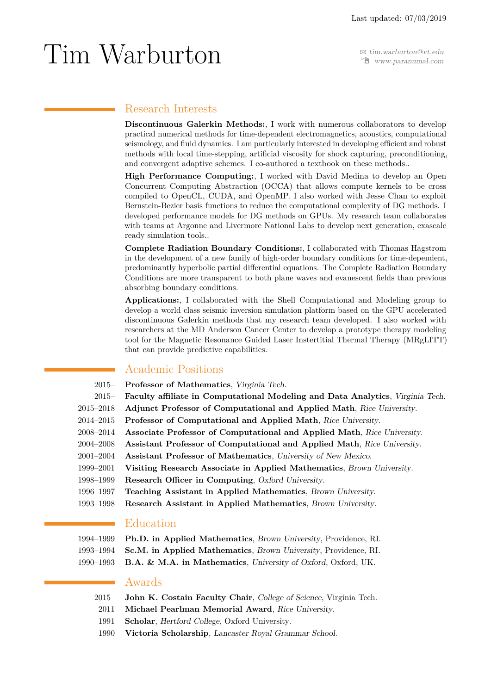Í [www.paranumal.com](http:// www.paranumal.com)

# <span id="page-0-0"></span> $\operatorname{Tim-Warburt}$   $\operatorname{Sum-Warburt}$

## Research Interests

**Discontinuous Galerkin Methods:**, I work with numerous collaborators to develop practical numerical methods for time-dependent electromagnetics, acoustics, computational seismology, and fluid dynamics. I am particularly interested in developing efficient and robust methods with local time-stepping, artificial viscosity for shock capturing, preconditioning, and convergent adaptive schemes. I co-authored a textbook on these methods..

**High Performance Computing:**, I worked with David Medina to develop an Open Concurrent Computing Abstraction (OCCA) that allows compute kernels to be cross compiled to OpenCL, CUDA, and OpenMP. I also worked with Jesse Chan to exploit Bernstein-Bezier basis functions to reduce the computational complexity of DG methods. I developed performance models for DG methods on GPUs. My research team collaborates with teams at Argonne and Livermore National Labs to develop next generation, exascale ready simulation tools..

**Complete Radiation Boundary Conditions:**, I collaborated with Thomas Hagstrom in the development of a new family of high-order boundary conditions for time-dependent, predominantly hyperbolic partial differential equations. The Complete Radiation Boundary Conditions are more transparent to both plane waves and evanescent fields than previous absorbing boundary conditions.

**Applications:**, I collaborated with the Shell Computational and Modeling group to develop a world class seismic inversion simulation platform based on the GPU accelerated discontinuous Galerkin methods that my research team developed. I also worked with researchers at the MD Anderson Cancer Center to develop a prototype therapy modeling tool for the Magnetic Resonance Guided Laser Instertitial Thermal Therapy (MRgLITT) that can provide predictive capabilities.

## Academic Positions

- 2015– **Professor of Mathematics**, Virginia Tech.
- 2015– **Faculty affiliate in Computational Modeling and Data Analytics**, Virginia Tech.
- 2015–2018 **Adjunct Professor of Computational and Applied Math**, Rice University.
- 2014–2015 **Professor of Computational and Applied Math**, Rice University.
- 2008–2014 **Associate Professor of Computational and Applied Math**, Rice University.
- 2004–2008 **Assistant Professor of Computational and Applied Math**, Rice University.
- 2001–2004 **Assistant Professor of Mathematics**, University of New Mexico.
- 1999–2001 **Visiting Research Associate in Applied Mathematics**, Brown University.
- 1998–1999 **Research Officer in Computing**, Oxford University.
- 1996–1997 **Teaching Assistant in Applied Mathematics**, Brown University.
- 1993–1998 **Research Assistant in Applied Mathematics**, Brown University.

## Education

| 1994–1999 Ph.D. in Applied Mathematics, Brown University, Providence, RI. |  |
|---------------------------------------------------------------------------|--|
|---------------------------------------------------------------------------|--|

- 1993–1994 **Sc.M. in Applied Mathematics**, Brown University, Providence, RI.
- 1990–1993 **B.A. & M.A. in Mathematics**, University of Oxford, Oxford, UK.

## Awards

- 2015– **John K. Costain Faculty Chair**, College of Science, Virginia Tech.
	- 2011 **Michael Pearlman Memorial Award**, Rice University.
	- 1991 **Scholar**, Hertford College, Oxford University.
	- 1990 **Victoria Scholarship**, Lancaster Royal Grammar School.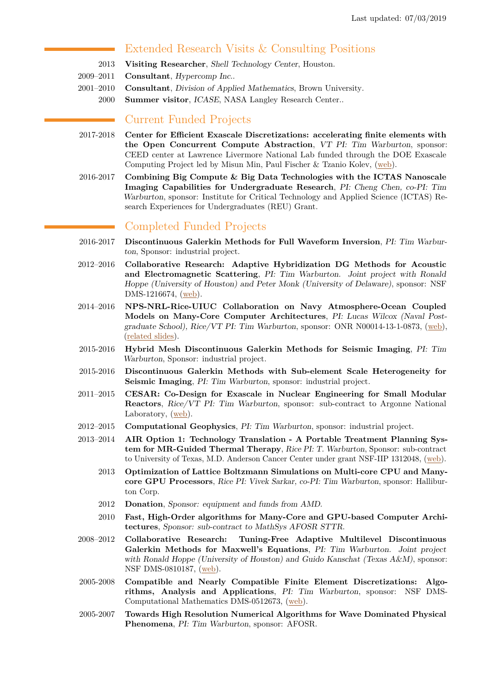## Extended Research Visits & Consulting Positions

- 2013 **Visiting Researcher**, Shell Technology Center, Houston.
- 2009–2011 **Consultant**, Hypercomp Inc..
- 2001–2010 **Consultant**, Division of Applied Mathematics, Brown University.
	- 2000 **Summer visitor**, ICASE, NASA Langley Research Center..

## Current Funded Projects

- 2017-2018 **Center for Efficient Exascale Discretizations: accelerating finite elements with the Open Concurrent Compute Abstraction**, VT PI: Tim Warburton, sponsor: CEED center at Lawrence Livermore National Lab funded through the DOE Exascale Computing Project led by Misun Min, Paul Fischer & Tzanio Kolev, [\(web\)](http://ceed.exascaleproject.org).
- 2016-2017 **Combining Big Compute & Big Data Technologies with the ICTAS Nanoscale Imaging Capabilities for Undergraduate Research**, PI: Cheng Chen, co-PI: Tim Warburton, sponsor: Institute for Critical Technology and Applied Science (ICTAS) Research Experiences for Undergraduates (REU) Grant.

## Completed Funded Projects

- 2016-2017 **Discontinuous Galerkin Methods for Full Waveform Inversion**, PI: Tim Warburton, Sponsor: industrial project.
- 2012–2016 **Collaborative Research: Adaptive Hybridization DG Methods for Acoustic and Electromagnetic Scattering**, PI: Tim Warburton. Joint project with Ronald Hoppe (University of Houston) and Peter Monk (University of Delaware), sponsor: NSF DMS-1216674, [\(web\)](http://www.nsf.gov/awardsearch/showAward?AWD_ID=1216674).
- 2014–2016 **NPS-NRL-Rice-UIUC Collaboration on Navy Atmosphere-Ocean Coupled Models on Many-Core Computer Architectures**, PI: Lucas Wilcox (Naval Postgraduate School), Rice/VT PI: Tim Warburton, sponsor: ONR N00014-13-1-0873, [\(web\)](https://earthsystemcog.org/projects/espc-numa/), [\(related slides\)](http://www.icms.org.uk/downloads/Galerkin/Wilcox.pdf).
- 2015-2016 **Hybrid Mesh Discontinuous Galerkin Methods for Seismic Imaging**, PI: Tim Warburton, Sponsor: industrial project.
- 2015-2016 **Discontinuous Galerkin Methods with Sub-element Scale Heterogeneity for Seismic Imaging**, PI: Tim Warburton, sponsor: industrial project.
- 2011–2015 **CESAR: Co-Design for Exascale in Nuclear Engineering for Small Modular Reactors**, Rice/VT PI: Tim Warburton, sponsor: sub-contract to Argonne National Laboratory, [\(web\)](https://cesar.mcs.anl.gov/).
- 2012–2015 **Computational Geophysics**, PI: Tim Warburton, sponsor: industrial project.
- 2013–2014 **AIR Option 1: Technology Translation A Portable Treatment Planning System for MR-Guided Thermal Therapy**, Rice PI: T. Warburton, Sponsor: sub-contract to University of Texas, M.D. Anderson Cancer Center under grant NSF-IIP 1312048, [\(web\)](http://www.nsf.gov/awardsearch/showAward?AWD_ID=1312048).
	- 2013 **Optimization of Lattice Boltzmann Simulations on Multi-core CPU and Manycore GPU Processors**, Rice PI: Vivek Sarkar, co-PI: Tim Warburton, sponsor: Halliburton Corp.
	- 2012 **Donation**, Sponsor: equipment and funds from AMD.
	- 2010 **Fast, High-Order algorithms for Many-Core and GPU-based Computer Architectures**, Sponsor: sub-contract to MathSys AFOSR STTR.
- 2008–2012 **Collaborative Research: Tuning-Free Adaptive Multilevel Discontinuous Galerkin Methods for Maxwell's Equations**, PI: Tim Warburton. Joint project with Ronald Hoppe (University of Houston) and Guido Kanschat (Texas  $A\&M$ ), sponsor: NSF DMS-0810187, [\(web\)](http://www.nsf.gov/awardsearch/showAward?AWD_ID=0810187&HistoricalAwards=false).
- 2005-2008 **Compatible and Nearly Compatible Finite Element Discretizations: Algorithms, Analysis and Applications**, PI: Tim Warburton, sponsor: NSF DMS-Computational Mathematics DMS-0512673, [\(web\)](http://www.nsf.gov/awardsearch/showAward?AWD_ID=0512673&HistoricalAwards=false).
- 2005-2007 **Towards High Resolution Numerical Algorithms for Wave Dominated Physical Phenomena**, PI: Tim Warburton, sponsor: AFOSR.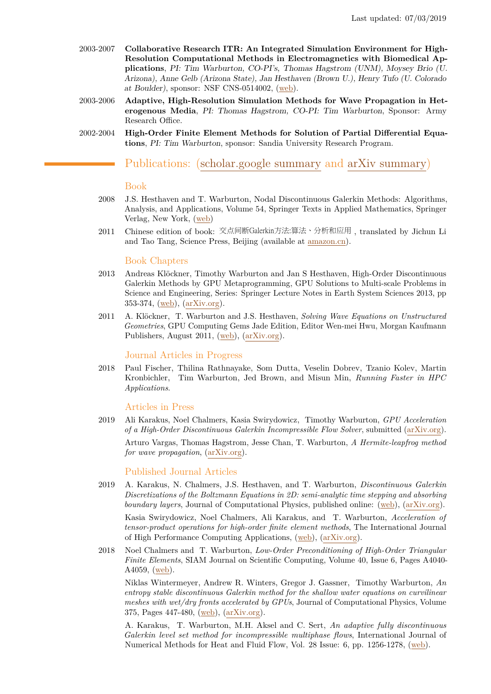- 2003-2007 **Collaborative Research ITR: An Integrated Simulation Environment for High-Resolution Computational Methods in Electromagnetics with Biomedical Applications**, PI: Tim Warburton, CO-PI's, Thomas Hagstrom (UNM), Moysey Brio (U. Arizona), Anne Gelb (Arizona State), Jan Hesthaven (Brown U.), Henry Tufo (U. Colorado at Boulder), sponsor: NSF CNS-0514002, [\(web\)](http://www.nsf.gov/awardsearch/showAward?AWD_ID=0514002&HistoricalAwards=false).
- 2003-2006 **Adaptive, High-Resolution Simulation Methods for Wave Propagation in Heterogenous Media**, PI: Thomas Hagstrom, CO-PI: Tim Warburton, Sponsor: Army Research Office.
- 2002-2004 **High-Order Finite Element Methods for Solution of Partial Differential Equations**, PI: Tim Warburton, sponsor: Sandia University Research Program.

## Publications: [\(scholar.google summary](http://scholar.google.com/citations?user=ULTQG6QAAAAJ&hl=en) and [arXiv summary\)](http://arxiv.org/find/math/1/au:+Warburton_T/0/1/0/all/0/1)

### Book

- 2008 J.S. Hesthaven and T. Warburton, Nodal Discontinuous Galerkin Methods: Algorithms, Analysis, and Applications, Volume 54, Springer Texts in Applied Mathematics, Springer Verlag, New York, [\(web\)](http://dx.doi.org/10.1007/978-0-387-72067-8)
- 2011 Chinese edition of book: 交点间断Galerkin方法:算法、分析和应用 , translated by Jichun Li and Tao Tang, Science Press, Beijing (available at [amazon.cn\)](https://www.amazon.cn/dp/B01CYOOSYI/ref=sr_1_1?ie=UTF8&qid=1537383206&sr=8-1&keywords=hesthaven+warburton).

#### Book Chapters

- 2013 Andreas Klöckner, Timothy Warburton and Jan S Hesthaven, High-Order Discontinuous Galerkin Methods by GPU Metaprogramming, GPU Solutions to Multi-scale Problems in Science and Engineering, Series: Springer Lecture Notes in Earth System Sciences 2013, pp 353-374, [\(web\)](http://link.springer.com/chapter/10.1007/978-3-642-16405-7_23), [\(arXiv.org\)](http://arxiv.org/abs/1211.0582).
- 2011 A. Klöckner, T. Warburton and J.S. Hesthaven, *Solving Wave Equations on Unstructured Geometries*, GPU Computing Gems Jade Edition, Editor Wen-mei Hwu, Morgan Kaufmann Publishers, August 2011, [\(web\)](http://www.elsevierdirect.com/product.jsp?isbn=9780123859631), [\(arXiv.org\)](http://arxiv.org/abs/1304.5546).

## Journal Articles in Progress

2018 Paul Fischer, Thilina Rathnayake, Som Dutta, Veselin Dobrev, Tzanio Kolev, Martin Kronbichler, Tim Warburton, Jed Brown, and Misun Min, *Running Faster in HPC Applications*.

#### Articles in Press

2019 Ali Karakus, Noel Chalmers, Kasia Swirydowicz, Timothy Warburton, *GPU Acceleration of a High-Order Discontinuous Galerkin Incompressible Flow Solver*, submitted [\(arXiv.org\)](https://arxiv.org/abs/1801.00246). Arturo Vargas, Thomas Hagstrom, Jesse Chan, T. Warburton, *A Hermite-leapfrog method for wave propagation*, [\(arXiv.org\)](https://arxiv.org/abs/1808.10481).

#### Published Journal Articles

2019 A. Karakus, N. Chalmers, J.S. Hesthaven, and T. Warburton, *Discontinuous Galerkin Discretizations of the Boltzmann Equations in 2D: semi-analytic time stepping and absorbing boundary layers*, Journal of Computational Physics, published online: [\(web\)](https://doi.org/10.1016/j.jcp.2019.03.050), [\(arXiv.org\)](https://arxiv.org/abs/1805.02082v1).

Kasia Swirydowicz, Noel Chalmers, Ali Karakus, and T. Warburton, *Acceleration of tensor-product operations for high-order finite element methods*, The International Journal of High Performance Computing Applications, [\(web\)](https://doi.org/10.1177/1094342018816368), [\(arXiv.org\)](https://arxiv.org/abs/1711.00903).

2018 Noel Chalmers and T. Warburton, *Low-Order Preconditioning of High-Order Triangular Finite Elements*, SIAM Journal on Scientific Computing, Volume 40, Issue 6, Pages A4040-A4059,  $(web)$ .

Niklas Wintermeyer, Andrew R. Winters, Gregor J. Gassner, Timothy Warburton, *An entropy stable discontinuous Galerkin method for the shallow water equations on curvilinear meshes with wet/dry fronts accelerated by GPUs*, Journal of Computational Physics, Volume 375, Pages 447-480, [\(web\)](https://doi.org/10.1016/j.jcp.2018.08.038), [\(arXiv.org\)](http://arxiv.org/abs/1804.02221).

A. Karakus, T. Warburton, M.H. Aksel and C. Sert, *An adaptive fully discontinuous Galerkin level set method for incompressible multiphase flows*, International Journal of Numerical Methods for Heat and Fluid Flow, Vol. 28 Issue: 6, pp. 1256-1278, [\(web\)](https://doi.org/10.1108/HFF-03-2017-0098).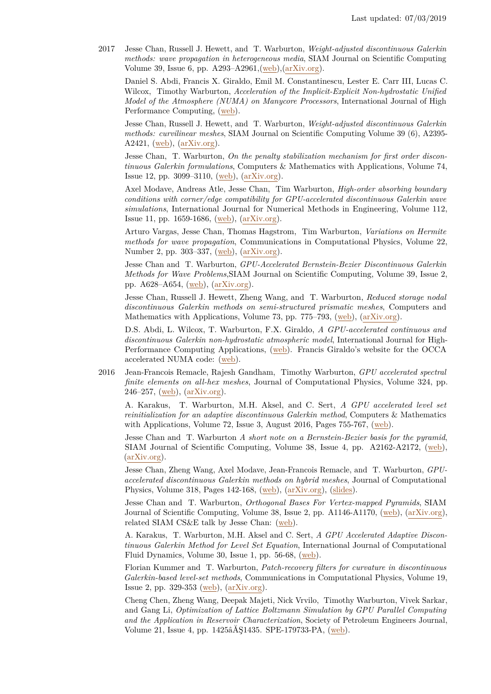2017 Jesse Chan, Russell J. Hewett, and T. Warburton, *Weight-adjusted discontinuous Galerkin methods: wave propagation in heterogeneous media*, SIAM Journal on Scientific Computing Volume 39, Issue 6, pp. A293–A2961,[\(web\)](https://doi.org/10.1137/16M1089186),[\(arXiv.org\)]( http://arxiv.org/abs/1608.01944).

Daniel S. Abdi, Francis X. Giraldo, Emil M. Constantinescu, Lester E. Carr III, Lucas C. Wilcox, Timothy Warburton, *Acceleration of the Implicit-Explicit Non-hydrostatic Unified Model of the Atmosphere (NUMA) on Manycore Processors*, International Journal of High Performance Computing, [\(web\)](https://doi.org/10.1177/1094342017732395).

Jesse Chan, Russell J. Hewett, and T. Warburton, *Weight-adjusted discontinuous Galerkin methods: curvilinear meshes*, SIAM Journal on Scientific Computing Volume 39 (6), A2395- A2421, [\(web\)](https://doi.org/10.1137/16M1089198),  $\{arXiv.org\}$ .

Jesse Chan, T. Warburton, *On the penalty stabilization mechanism for first order discontinuous Galerkin formulations*, Computers & Mathematics with Applications, Volume 74, Issue 12, pp. 3099–3110, [\(web\)](https://doi.org/10.1016/j.camwa.2017.08.003), [\(arXiv.org\)](https://arxiv.org/abs/1611.00102).

Axel Modave, Andreas Atle, Jesse Chan, Tim Warburton, *High-order absorbing boundary conditions with corner/edge compatibility for GPU-accelerated discontinuous Galerkin wave simulations*, International Journal for Numerical Methods in Engineering, Volume 112, Issue 11, pp. 1659-1686, [\(web\)](http://dx.doi.org/10.1002/nme.5576), [\(arXiv.org\)](https://arxiv.org/abs/1610.05023).

Arturo Vargas, Jesse Chan, Thomas Hagstrom, Tim Warburton, *Variations on Hermite methods for wave propagation*, Communications in Computational Physics, Volume 22, Number 2, pp. 303–337, [\(web\)](http://dx.doi.org/10.4208/cicp.260915.281116a), [\(arXiv.org\)](http://arxiv.org/abs/1509.08012).

Jesse Chan and T. Warburton, *GPU-Accelerated Bernstein-Bezier Discontinuous Galerkin Methods for Wave Problems*,SIAM Journal on Scientific Computing, Volume 39, Issue 2, pp. A628–A654, [\(web\)](http://dx.doi.org/10.1137/15M1053542), [\(arXiv.org\)](http://arxiv.org/abs/1512.06025).

Jesse Chan, Russell J. Hewett, Zheng Wang, and T. Warburton, *Reduced storage nodal discontinuous Galerkin methods on semi-structured prismatic meshes*, Computers and Mathematics with Applications, Volume 73, pp. 775–793, [\(web\)](http://dx.doi.org/10.1016/j.camwa.2017.01.010), [\(arXiv.org\)](http://arxiv.org/abs/1607.03399).

D.S. Abdi, L. Wilcox, T. Warburton, F.X. Giraldo, *A GPU-accelerated continuous and discontinuous Galerkin non-hydrostatic atmospheric model*, International Journal for High-Performance Computing Applications, [\(web\)](http://dx.doi.org/10.1177/1094342017694427). Francis Giraldo's website for the OCCA accelerated NUMA code: [\(web\)](http://frankgiraldo.wix.com/mysite).

2016 Jean-Francois Remacle, Rajesh Gandham, Timothy Warburton, *GPU accelerated spectral finite elements on all-hex meshes*, Journal of Computational Physics, Volume 324, pp.  $246 - 257$ ,  $(web)$ ,  $(arXiv.org)$ .

A. Karakus, T. Warburton, M.H. Aksel, and C. Sert, *A GPU accelerated level set reinitialization for an adaptive discontinuous Galerkin method*, Computers & Mathematics with Applications, Volume 72, Issue 3, August 2016, Pages  $755-767$ ,  $(\underline{\text{web}})$ .

Jesse Chan and T. Warburton *A short note on a Bernstein-Bezier basis for the pyramid*, SIAM Journal of Scientific Computing, Volume 38, Issue 4, pp. A2162-A2172, [\(web\)](http://dx.doi.org/10.1137/15M1036397), [\(arXiv.org\)](http://arxiv.org/abs/1508.05609).

Jesse Chan, Zheng Wang, Axel Modave, Jean-Francois Remacle, and T. Warburton, *GPUaccelerated discontinuous Galerkin methods on hybrid meshes*, Journal of Computational Physics, Volume 318, Pages 142-168, [\(web\)](http://dx.doi.org/10.1016/j.jcp.2016.04.003), [\(arXiv.org\)](http://arxiv.org/abs/1507.02557), [\(slides\)](http://www.math.vt.edu/people/jlchan/talks_posters/panacm2015.pdf).

Jesse Chan and T. Warburton, *Orthogonal Bases For Vertex-mapped Pyramids*, SIAM Journal of Scientific Computing, Volume 38, Issue 2, pp. A1146-A1170, [\(web\)](http://epubs.siam.org/doi/abs/10.1137/15M1011408), [\(arXiv.org\)](http://arxiv.org/abs/1502.07703), related SIAM CS&E talk by Jesse Chan: [\(web\)](http://www.caam.rice.edu/~jchan985/talks/siam_cse15.pdf).

A. Karakus, T. Warburton, M.H. Aksel and C. Sert, *A GPU Accelerated Adaptive Discontinuous Galerkin Method for Level Set Equation*, International Journal of Computational Fluid Dynamics, Volume 30, Issue 1, pp. 56-68, [\(web\)](http://www.tandfonline.com/doi/full/10.1080/10618562.2016.1155704).

Florian Kummer and T. Warburton, *Patch-recovery filters for curvature in discontinuous Galerkin-based level-set methods*, Communications in Computational Physics, Volume 19, Issue 2, pp. 329-353 [\(web\)](http://dx.doi.org/10.4208/cicp.191114.140715a), [\(arXiv.org\)](http://arxiv.org/abs/1501.02900).

Cheng Chen, Zheng Wang, Deepak Majeti, Nick Vrvilo, Timothy Warburton, Vivek Sarkar, and Gang Li, *Optimization of Lattice Boltzmann Simulation by GPU Parallel Computing and the Application in Reservoir Characterization*, Society of Petroleum Engineers Journal, Volume 21, Issue 4, pp. 1425âĂŞ1435. SPE-179733-PA, [\(web\)](http://dx.doi.org/10.2118/179733-PA).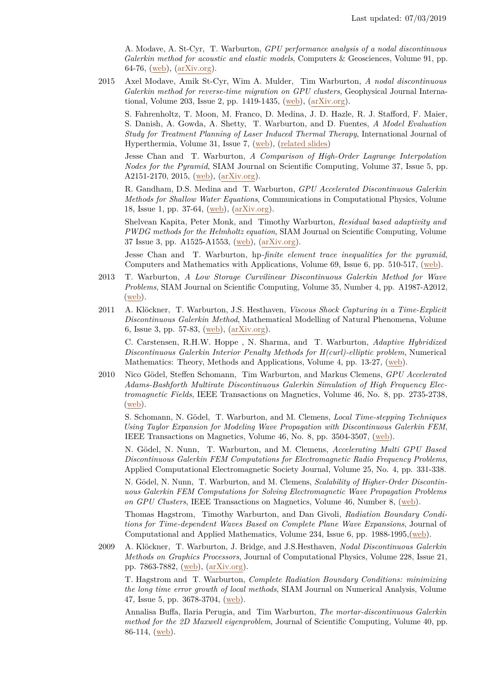A. Modave, A. St-Cyr, T. Warburton, *GPU performance analysis of a nodal discontinuous Galerkin method for acoustic and elastic models*, Computers & Geosciences, Volume 91, pp. 64-76, [\(web\)](http://dx.doi.org/10.1016/j.cageo.2016.03.008), [\(arXiv.org\)](http://arxiv.org/abs/1602.07997).

2015 Axel Modave, Amik St-Cyr, Wim A. Mulder, Tim Warburton, *A nodal discontinuous Galerkin method for reverse-time migration on GPU clusters*, Geophysical Journal International, Volume 203, Issue 2, pp. 1419-1435, [\(web\)](http://dx.doi.org/10.1093/gji/ggv380), [\(arXiv.org\)](http://arxiv.org/abs/1506.00907).

S. Fahrenholtz, T. Moon, M. Franco, D. Medina, J. D. Hazle, R. J. Stafford, F. Maier, S. Danish, A. Gowda, A. Shetty, T. Warburton, and D. Fuentes, *A Model Evaluation Study for Treatment Planning of Laser Induced Thermal Therapy*, International Journal of Hyperthermia, Volume 31, Issue 7, [\(web\)](http://www.tandfonline.com/doi/full/10.3109/02656736.2015.1055831), [\(related slides\)](http://www.cl.eps.manchester.ac.uk/medialand/maths/pdfs/events/anahpc13%20Tim%20Warburton%20presentation%20slides.pdf)

Jesse Chan and T. Warburton, *A Comparison of High-Order Lagrange Interpolation Nodes for the Pyramid*, SIAM Journal on Scientific Computing, Volume 37, Issue 5, pp. A2151-2170, 2015, [\(web\)](http://epubs.siam.org/doi/abs/10.1137/141000105), [\(arXiv.org\)](http://arxiv.org/abs/1412.4138).

R. Gandham, D.S. Medina and T. Warburton, *GPU Accelerated Discontinuous Galerkin Methods for Shallow Water Equations*, Communications in Computational Physics, Volume 18, Issue 1, pp. 37-64, [\(web\)](http://dx.doi.org/10.4208/cicp.070114.271114a), [\(arXiv.org\)](http://arxiv.org/abs/1403.1661).

Shelvean Kapita, Peter Monk, and Timothy Warburton, *Residual based adaptivity and PWDG methods for the Helmholtz equation*, SIAM Journal on Scientific Computing, Volume 37 Issue 3, pp. A1525-A1553, [\(web\)](http://epubs.siam.org/doi/abs/10.1137/140967696), [\(arXiv.org\)](http://arxiv.org/abs/1405.1957).

Jesse Chan and T. Warburton, hp*-finite element trace inequalities for the pyramid*, Computers and Mathematics with Applications, Volume 69, Issue 6, pp. 510-517, [\(web\)](http://www.sciencedirect.com/science/article/pii/S0898122115000358).

- 2013 T. Warburton, *A Low Storage Curvilinear Discontinuous Galerkin Method for Wave Problems*, SIAM Journal on Scientific Computing, Volume 35, Number 4, pp. A1987-A2012, [\(web\)](http://dx.doi.org/10.1137/120899662).
- 2011 A. Klöckner, T. Warburton, J.S. Hesthaven, *Viscous Shock Capturing in a Time-Explicit Discontinuous Galerkin Method*, Mathematical Modelling of Natural Phenomena, Volume 6, Issue 3, pp. 57-83, [\(web\)](http://dx.doi.org/10.1051/mmnp/20116303 ), [\(arXiv.org\)](http://arxiv.org/abs/1102.3190).

C. Carstensen, R.H.W. Hoppe , N. Sharma, and T. Warburton, *Adaptive Hybridized Discontinuous Galerkin Interior Penalty Methods for H(curl)-elliptic problem*, Numerical Mathematics: Theory, Methods and Applications, Volume 4, pp. 13-27, [\(web\)](http://www.global-sci.org/nmtma/readabs.php?vol=4&no=1&doc=13&year=2011&ppage=37).

2010 Nico Gödel, Steffen Schomann, Tim Warburton, and Markus Clemens, *GPU Accelerated Adams-Bashforth Multirate Discontinuous Galerkin Simulation of High Frequency Electromagnetic Fields*, IEEE Transactions on Magnetics, Volume 46, No. 8, pp. 2735-2738,  $(\underline{\text{web}}).$ 

S. Schomann, N. Gödel, T. Warburton, and M. Clemens, *Local Time-stepping Techniques Using Taylor Expansion for Modeling Wave Propagation with Discontinuous Galerkin FEM*, IEEE Transactions on Magnetics, Volume 46, No. 8, pp. 3504-3507, [\(web\)](http://dx.doi.org/10.1109/TMAG.2010.2043656).

N. Gödel, N. Nunn, T. Warburton, and M. Clemens, *Accelerating Multi GPU Based Discontinuous Galerkin FEM Computations for Electromagnetic Radio Frequency Problems*, Applied Computational Electromagnetic Society Journal, Volume 25, No. 4, pp. 331-338.

N. Gödel, N. Nunn, T. Warburton, and M. Clemens, *Scalability of Higher-Order Discontinuous Galerkin FEM Computations for Solving Electromagnetic Wave Propagation Problems on GPU Clusters*, IEEE Transactions on Magnetics, Volume 46, Number 8, [\(web\)](http://ieeexplore.ieee.org/xpls/abs_all.jsp?arnumber=5513006).

Thomas Hagstrom, Timothy Warburton, and Dan Givoli, *Radiation Boundary Conditions for Time-dependent Waves Based on Complete Plane Wave Expansions*, Journal of Computational and Applied Mathematics, Volume 234, Issue 6, pp.  $1988-1995$ , [\(web\)](http://dx.doi.org/10.1016/j.cam.2009.08.050).

2009 A. Klöckner, T. Warburton, J. Bridge, and J.S.Hesthaven, *Nodal Discontinuous Galerkin Methods on Graphics Processors*, Journal of Computational Physics, Volume 228, Issue 21, pp. 7863-7882, [\(web\)](http://dx.doi.org/10.1016/j.jcp.2009.06.041), [\(arXiv.org\)](http://arxiv.org/abs/0901.1024).

T. Hagstrom and T. Warburton, *Complete Radiation Boundary Conditions: minimizing the long time error growth of local methods*, SIAM Journal on Numerical Analysis, Volume 47, Issue 5, pp. 3678-3704, [\(web\)](http://dx.doi.org/10.1137/090745477).

Annalisa Buffa, Ilaria Perugia, and Tim Warburton, *The mortar-discontinuous Galerkin method for the 2D Maxwell eigenproblem*, Journal of Scientific Computing, Volume 40, pp. 86-114, [\(web\)](http://dx.doi.org/10.1007/s10915-008-9238-0).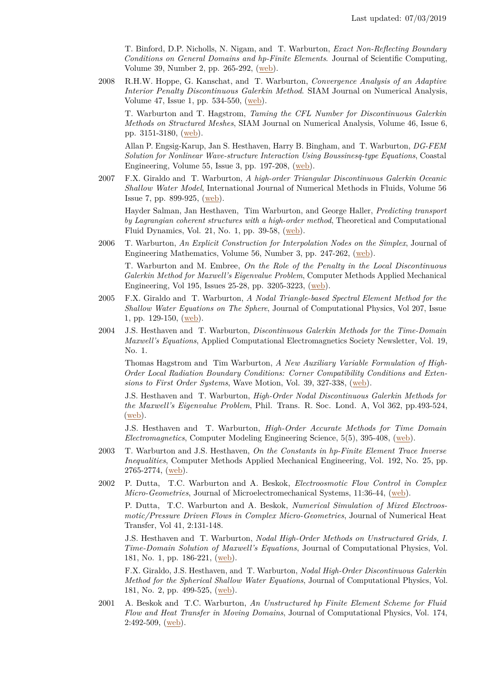T. Binford, D.P. Nicholls, N. Nigam, and T. Warburton, *Exact Non-Reflecting Boundary Conditions on General Domains and hp-Finite Elements*. Journal of Scientific Computing, Volume 39, Number 2, pp. 265-292, [\(web\)](http://10.1007/s10915-008-9263-z).

2008 R.H.W. Hoppe, G. Kanschat, and T. Warburton, *Convergence Analysis of an Adaptive Interior Penalty Discontinuous Galerkin Method*. SIAM Journal on Numerical Analysis, Volume 47, Issue 1, pp. 534-550, [\(web\)](http://dx.doi.org/10.1137/070704599).

T. Warburton and T. Hagstrom, *Taming the CFL Number for Discontinuous Galerkin Methods on Structured Meshes*, SIAM Journal on Numerical Analysis, Volume 46, Issue 6, pp. 3151-3180, [\(web\)](http://dx.doi.org/10.1137/060672601).

Allan P. Engsig-Karup, Jan S. Hesthaven, Harry B. Bingham, and T. Warburton, *DG-FEM Solution for Nonlinear Wave-structure Interaction Using Boussinesq-type Equations*, Coastal Engineering, Volume 55, Issue 3, pp.  $197-208$ ,  $(web)$ .

2007 F.X. Giraldo and T. Warburton, *A high-order Triangular Discontinuous Galerkin Oceanic Shallow Water Model*, International Journal of Numerical Methods in Fluids, Volume 56 Issue 7, pp. 899-925, [\(web\)](http://dx.doi.org/10.1002/fld.1562).

Hayder Salman, Jan Hesthaven, Tim Warburton, and George Haller, *Predicting transport by Lagrangian coherent structures with a high-order method*, Theoretical and Computational Fluid Dynamics, Vol. 21, No. 1, pp. 39-58, [\(web\)](http://dx.doi.org/10.1007/s00162-006-0031-0).

2006 T. Warburton, *An Explicit Construction for Interpolation Nodes on the Simplex*, Journal of Engineering Mathematics, Volume 56, Number 3, pp. 247-262, [\(web\)](http://dx.doi.org/10.1007/s10665-006-9086-6).

T. Warburton and M. Embree, *On the Role of the Penalty in the Local Discontinuous Galerkin Method for Maxwell's Eigenvalue Problem*, Computer Methods Applied Mechanical Engineering, Vol 195, Issues 25-28, pp. 3205-3223, [\(web\)](http://dx.doi.org/10.1016/j.cma.2005.06.011).

- 2005 F.X. Giraldo and T. Warburton, *A Nodal Triangle-based Spectral Element Method for the Shallow Water Equations on The Sphere*, Journal of Computational Physics, Vol 207, Issue 1, pp. 129-150, [\(web\)](http://dx.doi.org/10.1016/j.jcp.2005.01.004).
- 2004 J.S. Hesthaven and T. Warburton, *Discontinuous Galerkin Methods for the Time-Domain Maxwell's Equations*, Applied Computational Electromagnetics Society Newsletter, Vol. 19, No. 1.

Thomas Hagstrom and Tim Warburton, *A New Auxiliary Variable Formulation of High-Order Local Radiation Boundary Conditions: Corner Compatibility Conditions and Extensions to First Order Systems*, Wave Motion, Vol. 39, 327-338, [\(web\)](http://dx.doi.org/10.1016/j.wavemoti.2003.12.007).

J.S. Hesthaven and T. Warburton, *High-Order Nodal Discontinuous Galerkin Methods for the Maxwell's Eigenvalue Problem*, Phil. Trans. R. Soc. Lond. A, Vol 362, pp.493-524, [\(web\)](http://www.jstor.org/stable/4142350).

J.S. Hesthaven and T. Warburton, *High-Order Accurate Methods for Time Domain Electromagnetics*, Computer Modeling Engineering Science, 5(5), 395-408, [\(web\)](http://dx.doi.org/10.3970/cmes.2004.005.395).

- 2003 T. Warburton and J.S. Hesthaven, *On the Constants in hp-Finite Element Trace Inverse Inequalities*, Computer Methods Applied Mechanical Engineering, Vol. 192, No. 25, pp.  $2765-2774, (web).$  $2765-2774, (web).$  $2765-2774, (web).$
- 2002 P. Dutta, T.C. Warburton and A. Beskok, *Electroosmotic Flow Control in Complex Micro-Geometries*, Journal of Microelectromechanical Systems, 11:36-44, [\(web\)](http://dx.doi.org/10.1109/84.982861).

P. Dutta, T.C. Warburton and A. Beskok, *Numerical Simulation of Mixed Electroosmotic/Pressure Driven Flows in Complex Micro-Geometries*, Journal of Numerical Heat Transfer, Vol 41, 2:131-148.

J.S. Hesthaven and T. Warburton, *Nodal High-Order Methods on Unstructured Grids, I. Time-Domain Solution of Maxwell's Equations*, Journal of Computational Physics, Vol. 181, No. 1, pp. 186-221, [\(web\)](http://dx.doi.org/10.1006/jcph.2002.7118).

F.X. Giraldo, J.S. Hesthaven, and T. Warburton, *Nodal High-Order Discontinuous Galerkin Method for the Spherical Shallow Water Equations*, Journal of Computational Physics, Vol. 181, No. 2, pp. 499-525, [\(web\)](http://dx.doi.org/10.1006/jcph.2002.7139).

2001 A. Beskok and T.C. Warburton, *An Unstructured hp Finite Element Scheme for Fluid Flow and Heat Transfer in Moving Domains*, Journal of Computational Physics, Vol. 174, 2:492-509, [\(web\)](http://dx.doi.org/10.1006/jcph.2001.6885).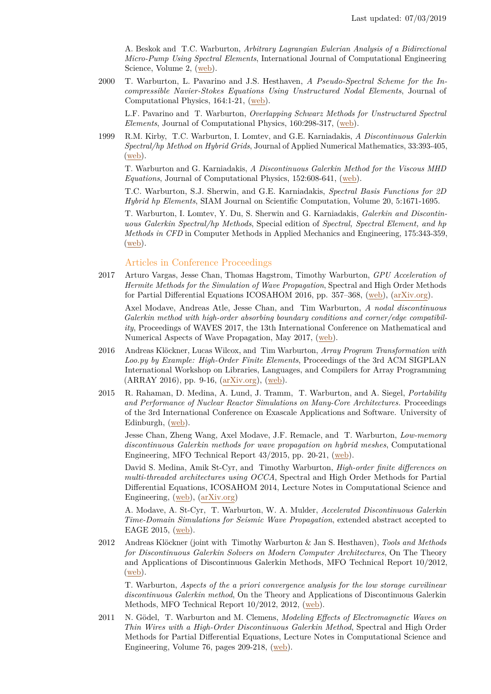A. Beskok and T.C. Warburton, *Arbitrary Lagrangian Eulerian Analysis of a Bidirectional Micro-Pump Using Spectral Elements*, International Journal of Computational Engineering Science, Volume 2, [\(web\)](http://dx.doi.org/10.1142/S1465876301000234).

2000 T. Warburton, L. Pavarino and J.S. Hesthaven, *A Pseudo-Spectral Scheme for the Incompressible Navier-Stokes Equations Using Unstructured Nodal Elements*, Journal of Computational Physics, 164:1-21, [\(web\)](http://dx.doi.org/10.1006/jcph.2000.6587).

L.F. Pavarino and T. Warburton, *Overlapping Schwarz Methods for Unstructured Spectral Elements*, Journal of Computational Physics, 160:298-317, [\(web\)](http://dx.doi.org/10.1006/jcph.2000.6463).

1999 R.M. Kirby, T.C. Warburton, I. Lomtev, and G.E. Karniadakis, *A Discontinuous Galerkin Spectral/hp Method on Hybrid Grids*, Journal of Applied Numerical Mathematics, 33:393-405,  $(**web**)$ .

T. Warburton and G. Karniadakis, *A Discontinuous Galerkin Method for the Viscous MHD Equations*, Journal of Computational Physics, 152:608-641, [\(web\)](http://dx.doi.org/10.1006/jcph.1999.6248).

T.C. Warburton, S.J. Sherwin, and G.E. Karniadakis, *Spectral Basis Functions for 2D Hybrid hp Elements*, SIAM Journal on Scientific Computation, Volume 20, 5:1671-1695.

T. Warburton, I. Lomtev, Y. Du, S. Sherwin and G. Karniadakis, *Galerkin and Discontinuous Galerkin Spectral/hp Methods*, Special edition of *Spectral, Spectral Element, and hp Methods in CFD* in Computer Methods in Applied Mechanics and Engineering, 175:343-359, [\(web\)](http://dx.doi.org/10.1016/S0045-7825(98)00360-0).

#### Articles in Conference Proceedings

2017 Arturo Vargas, Jesse Chan, Thomas Hagstrom, Timothy Warburton, *GPU Acceleration of Hermite Methods for the Simulation of Wave Propagation*, Spectral and High Order Methods for Partial Differential Equations ICOSAHOM 2016, pp. 357–368, [\(web\)](https://doi.org/10.1007/978-3-319-65870-4_25), [\(arXiv.org\)](https://arxiv.org/abs/1609.09841).

Axel Modave, Andreas Atle, Jesse Chan, and Tim Warburton, *A nodal discontinuous Galerkin method with high-order absorbing boundary conditions and corner/edge compatibility*, Proceedings of WAVES 2017, the 13th International Conference on Mathematical and Numerical Aspects of Wave Propagation, May 2017, [\(web\)](https://hal.archives-ouvertes.fr/hal-01573689).

- 2016 Andreas Klöckner, Lucas Wilcox, and Tim Warburton, *Array Program Transformation with Loo.py by Example: High-Order Finite Elements*, Proceedings of the 3rd ACM SIGPLAN International Workshop on Libraries, Languages, and Compilers for Array Programming (ARRAY 2016), pp. 9-16, [\(arXiv.org\)](https://arxiv.org/abs/1604.08501), [\(web\)](http://conf.researchr.org/home/pldi-2016).
- 2015 R. Rahaman, D. Medina, A. Lund, J. Tramm, T. Warburton, and A. Siegel, *Portability and Performance of Nuclear Reactor Simulations on Many-Core Architectures.* Proceedings of the 3rd International Conference on Exascale Applications and Software. University of Edinburgh, [\(web\)](http://www.easc2015.ed.ac.uk/sites/default/files/attachments/EASC15Proceedings.pdf).

Jesse Chan, Zheng Wang, Axel Modave, J.F. Remacle, and T. Warburton, *Low-memory discontinuous Galerkin methods for wave propagation on hybrid meshes*, Computational Engineering, MFO Technical Report 43/2015, pp. 20-21, [\(web\)](https://www.mfo.de/document/1540/preliminary_OWR_2015_43.pdf).

David S. Medina, Amik St-Cyr, and Timothy Warburton, *High-order finite differences on multi-threaded architectures using OCCA*, Spectral and High Order Methods for Partial Differential Equations, ICOSAHOM 2014, Lecture Notes in Computational Science and Engineering, [\(web\)](http://www.springer.com/us/book/9783319197999), [\(arXiv.org\)](http://arxiv.org/abs/1410.1387)

A. Modave, A. St-Cyr, T. Warburton, W. A. Mulder, *Accelerated Discontinuous Galerkin Time-Domain Simulations for Seismic Wave Propagation*, extended abstract accepted to EAGE 2015, [\(web\)](http://www.earthdoc.org/publication/publicationdetails/?publication=81045).

2012 Andreas Klöckner (joint with Timothy Warburton & Jan S. Hesthaven), *Tools and Methods for Discontinuous Galerkin Solvers on Modern Computer Architectures*, On The Theory and Applications of Discontinuous Galerkin Methods, MFO Technical Report 10/2012,  $(**web**)$ .

T. Warburton, *Aspects of the a priori convergence analysis for the low storage curvilinear discontinuous Galerkin method*, On the Theory and Applications of Discontinuous Galerkin Methods, MFO Technical Report 10/2012, 2012, [\(web\)](http://www.mfo.de/document/1208a/OWR_2012_10.pdf).

2011 N. Gödel, T. Warburton and M. Clemens, *Modeling Effects of Electromagnetic Waves on Thin Wires with a High-Order Discontinuous Galerkin Method*, Spectral and High Order Methods for Partial Differential Equations, Lecture Notes in Computational Science and Engineering, Volume 76, pages 209-218, [\(web\)](http://dx.doi.org/10.1007/978-3-642-15337-2_18).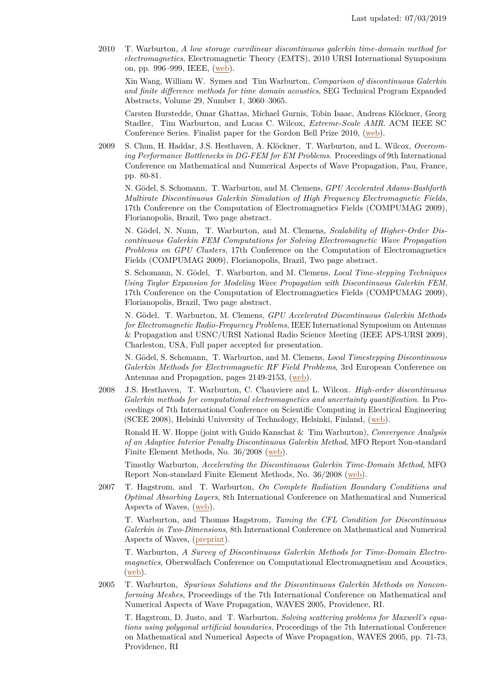2010 T. Warburton, *A low storage curvilinear discontinuous galerkin time-domain method for electromagnetics*, Electromagnetic Theory (EMTS), 2010 URSI International Symposium on, pp. 996–999, IEEE, [\(web\)](http://dx.doi.org/10.1109/URSI-EMTS.2010.5637392).

Xin Wang, William W. Symes and Tim Warburton, *Comparison of discontinuous Galerkin and finite difference methods for time domain acoustics*, SEG Technical Program Expanded Abstracts, Volume 29, Number 1, 3060–3065.

Carsten Burstedde, Omar Ghattas, Michael Gurnis, Tobin Isaac, Andreas Klöckner, Georg Stadler, Tim Warburton, and Lucas C. Wilcox, *Extreme-Scale AMR*. ACM IEEE SC Conference Series. Finalist paper for the Gordon Bell Prize 2010, [\(web\)](http://dx.doi.org/10.1109/SC.2010.25).

2009 S. Chun, H. Haddar, J.S. Hesthaven, A. Klöckner, T. Warburton, and L. Wilcox, *Overcoming Performance Bottlenecks in DG-FEM for EM Problems*. Proceedings of 9th International Conference on Mathematical and Numerical Aspects of Wave Propagation, Pau, France, pp. 80-81.

N. Gödel, S. Schomann, T. Warburton, and M. Clemens, *GPU Accelerated Adams-Bashforth Multirate Discontinuous Galerkin Simulation of High Frequency Electromagnetic Fields*, 17th Conference on the Computation of Electromagnetics Fields (COMPUMAG 2009), Florianopolis, Brazil, Two page abstract.

N. Gödel, N. Nunn, T. Warburton, and M. Clemens, *Scalability of Higher-Order Discontinuous Galerkin FEM Computations for Solving Electromagnetic Wave Propagation Problems on GPU Clusters*, 17th Conference on the Computation of Electromagnetics Fields (COMPUMAG 2009), Florianopolis, Brazil, Two page abstract.

S. Schomann, N. Gödel, T. Warburton, and M. Clemens, *Local Time-stepping Techniques Using Taylor Expansion for Modeling Wave Propagation with Discontinuous Galerkin FEM*, 17th Conference on the Computation of Electromagnetics Fields (COMPUMAG 2009), Florianopolis, Brazil, Two page abstract.

N. Gödel, T. Warburton, M. Clemens, *GPU Accelerated Discontinuous Galerkin Methods for Electromagnetic Radio-Frequency Problems*, IEEE International Symposium on Antennas & Propagation and USNC/URSI National Radio Science Meeting (IEEE APS-URSI 2009), Charleston, USA, Full paper accepted for presentation.

N. Gödel, S. Schomann, T. Warburton, and M. Clemens, *Local Timestepping Discontinuous Galerkin Methods for Electromagnetic RF Field Problems*, 3rd European Conference on Antennas and Propagation, pages 2149-2153, [\(web\)](http://ieeexplore.ieee.org/xpls/abs_all.jsp?arnumber=5068043&tag=1).

2008 J.S. Hesthaven, T. Warburton, C. Chauviere and L. Wilcox. *High-order discontinuous Galerkin methods for computational electromagnetics and uncertainty quantification*. In Proceedings of 7th International Conference on Scientific Computing in Electrical Engineering (SCEE 2008), Helsinki University of Technology, Helsinki, Finland, [\(web\)](http://dx.doi.org/10.1007/978-3-642-12294-1_50).

Ronald H. W. Hoppe (joint with Guido Kanschat & Tim Warburton), *Convergence Analysis of an Adaptive Interior Penalty Discontinuous Galerkin Method*, MFO Report Non-standard Finite Element Methods, No. 36/2008 [\(web\)](#page-0-0).

Timothy Warburton, *Accelerating the Discontinuous Galerkin Time-Domain Method*, MFO Report Non-standard Finite Element Methods, No. 36/2008 [\(web\)](#page-0-0).

2007 T. Hagstrom, and T. Warburton, *On Complete Radiation Boundary Conditions and Optimal Absorbing Layers*, 8th International Conference on Mathematical and Numerical Aspects of Waves, [\(web\)](https://www.waves2007.org/).

T. Warburton, and Thomas Hagstrom, *Taming the CFL Condition for Discontinuous Galerkin in Two-Dimensions*, 8th International Conference on Mathematical and Numerical Aspects of Waves, [\(preprint\)](https://www.caam.rice.edu/~timwar/WarburtonWaves07.pdf).

T. Warburton, *A Survey of Discontinuous Galerkin Methods for Time-Domain Electromagnetics*, Oberwolfach Conference on Computational Electromagnetism and Acoustics, [\(web\)](#page-0-0).

2005 T. Warburton, *Spurious Solutions and the Discontinuous Galerkin Methods on Nonconforming Meshes*, Proceedings of the 7th International Conference on Mathematical and Numerical Aspects of Wave Propagation, WAVES 2005, Providence, RI.

T. Hagstrom, D. Justo, and T. Warburton, *Solving scattering problems for Maxwell's equations using polygonal artificial boundaries*, Proceedings of the 7th International Conference on Mathematical and Numerical Aspects of Wave Propagation, WAVES 2005, pp. 71-73, Providence, RI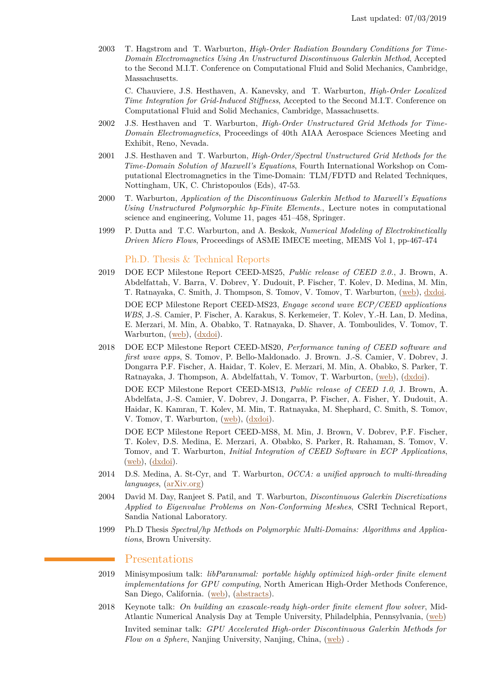2003 T. Hagstrom and T. Warburton, *High-Order Radiation Boundary Conditions for Time-Domain Electromagnetics Using An Unstructured Discontinuous Galerkin Method*, Accepted to the Second M.I.T. Conference on Computational Fluid and Solid Mechanics, Cambridge, Massachusetts.

C. Chauviere, J.S. Hesthaven, A. Kanevsky, and T. Warburton, *High-Order Localized Time Integration for Grid-Induced Stiffness*, Accepted to the Second M.I.T. Conference on Computational Fluid and Solid Mechanics, Cambridge, Massachusetts.

- 2002 J.S. Hesthaven and T. Warburton, *High-Order Unstructured Grid Methods for Time-Domain Electromagnetics*, Proceedings of 40th AIAA Aerospace Sciences Meeting and Exhibit, Reno, Nevada.
- 2001 J.S. Hesthaven and T. Warburton, *High-Order/Spectral Unstructured Grid Methods for the Time-Domain Solution of Maxwell's Equations*, Fourth International Workshop on Computational Electromagnetics in the Time-Domain: TLM/FDTD and Related Techniques, Nottingham, UK, C. Christopoulos (Eds), 47-53.
- 2000 T. Warburton, *Application of the Discontinuous Galerkin Method to Maxwell's Equations Using Unstructured Polymorphic hp-Finite Elements.*, Lecture notes in computational science and engineering, Volume 11, pages 451–458, Springer.
- 1999 P. Dutta and T.C. Warburton, and A. Beskok, *Numerical Modeling of Electrokinetically Driven Micro Flows*, Proceedings of ASME IMECE meeting, MEMS Vol 1, pp-467-474

Ph.D. Thesis & Technical Reports

- 2019 DOE ECP Milestone Report CEED-MS25, *Public release of CEED 2.0.*, J. Brown, A. Abdelfattah, V. Barra, V. Dobrev, Y. Dudouit, P. Fischer, T. Kolev, D. Medina, M. Min, T. Ratnayaka, C. Smith, J. Thompson, S. Tomov, V. Tomov, T. Warburton, [\(web\)](http://doi.org/10.5281/zenodo.2641316), [dxdoi.](https://doi.org/10.5281/zenodo.2641316) DOE ECP Milestone Report CEED-MS23, *Engage second wave ECP/CEED applications WBS*, J.-S. Camier, P. Fischer, A. Karakus, S. Kerkemeier, T. Kolev, Y.-H. Lan, D. Medina, E. Merzari, M. Min, A. Obabko, T. Ratnayaka, D. Shaver, A. Tomboulides, V. Tomov, T. Warburton,  $(web)$ ,  $(\frac{dx}{d\alpha}$ .
- 2018 DOE ECP Milestone Report CEED-MS20, *Performance tuning of CEED software and first wave apps*, S. Tomov, P. Bello-Maldonado. J. Brown. J.-S. Camier, V. Dobrev, J. Dongarra P.F. Fischer, A. Haidar, T. Kolev, E. Merzari, M. Min, A. Obabko, S. Parker, T. Ratnayaka, J. Thompson, A. Abdelfattah, V. Tomov, T. Warburton, [\(web\)](http://ceed.exascaleproject.org/docs/ceed-ms20-report.pdf), [\(dxdoi\)](http://dx.doi.org/10.5281/zenodo.2542350).

DOE ECP Milestone Report CEED-MS13, *Public release of CEED 1.0*, J. Brown, A. Abdelfata, J.-S. Camier, V. Dobrev, J. Dongarra, P. Fischer, A. Fisher, Y. Dudouit, A. Haidar, K. Kamran, T. Kolev, M. Min, T. Ratnayaka, M. Shephard, C. Smith, S. Tomov, V. Tomov, T. Warburton, [\(web\)](http://ceed.exascaleproject.org/docs/ceed-ms13-report.pdf), [\(dxdoi\)](http://dx.doi.org/10.5281/zenodo.2542343).

DOE ECP Milestone Report CEED-MS8, M. Min, J. Brown, V. Dobrev, P.F. Fischer, T. Kolev, D.S. Medina, E. Merzari, A. Obabko, S. Parker, R. Rahaman, S. Tomov, V. Tomov, and T. Warburton, *Initial Integration of CEED Software in ECP Applications*,  $(\underline{\text{web}}), (\underline{\text{dxdoi}}).$ 

- 2014 D.S. Medina, A. St-Cyr, and T. Warburton, *OCCA: a unified approach to multi-threading languages*, [\(arXiv.org\)](http://arxiv.org/abs/1403.0968)
- 2004 David M. Day, Ranjeet S. Patil, and T. Warburton, *Discontinuous Galerkin Discretizations Applied to Eigenvalue Problems on Non-Conforming Meshes*, CSRI Technical Report, Sandia National Laboratory.
- 1999 Ph.D Thesis *Spectral/hp Methods on Polymorphic Multi-Domains: Algorithms and Applications*, Brown University.

## Presentations

- 2019 Minisymposium talk: *libParanumal: portable highly optimized high-order finite element implementations for GPU computing*, North American High-Order Methods Conference, San Diego, California. [\(web\)](https://www.nahomcon19.sdsu.edu/), [\(abstracts\)](https://www.nahomcon19.sdsu.edu/wp-content/uploads/2019/05/small-proceedings-5_30_2019-compressed.pdf).
- 2018 Keynote talk: *On building an exascale-ready high-order finite element flow solver*, Mid-Atlantic Numerical Analysis Day at Temple University, Philadelphia, Pennsylvania, [\(web\)](https://math.temple.edu/events/conferences/na-day/abstract.html) Invited seminar talk: *GPU Accelerated High-order Discontinuous Galerkin Methods for Flow on a Sphere*, Nanjing University, Nanjing, China, [\(web\)](http://math.nju.edu.cn/academic_reports/435) .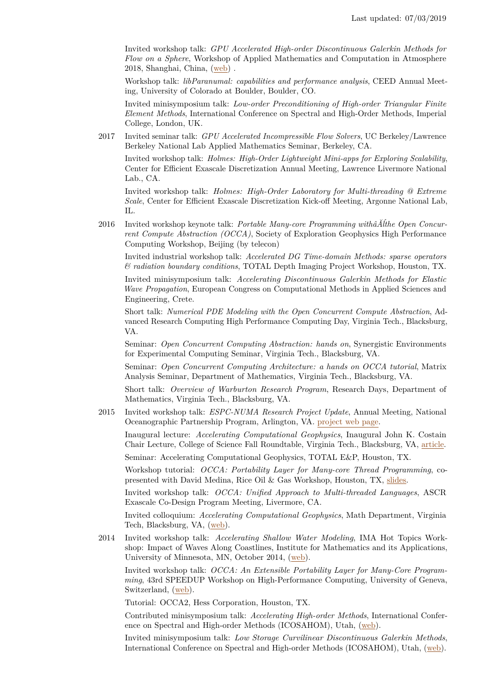Invited workshop talk: *GPU Accelerated High-order Discontinuous Galerkin Methods for Flow on a Sphere*, Workshop of Applied Mathematics and Computation in Atmosphere 2018, Shanghai, China, [\(web\)](http://amca2018.csp.escience.cn/dct/page/1) .

Workshop talk: *libParanumal: capabilities and performance analysis*, CEED Annual Meeting, University of Colorado at Boulder, Boulder, CO.

Invited minisymposium talk: *Low-order Preconditioning of High-order Triangular Finite Element Methods*, International Conference on Spectral and High-Order Methods, Imperial College, London, UK.

2017 Invited seminar talk: *GPU Accelerated Incompressible Flow Solvers*, UC Berkeley/Lawrence Berkeley National Lab Applied Mathematics Seminar, Berkeley, CA.

Invited workshop talk: *Holmes: High-Order Lightweight Mini-apps for Exploring Scalability*, Center for Efficient Exascale Discretization Annual Meeting, Lawrence Livermore National Lab., CA.

Invited workshop talk: *Holmes: High-Order Laboratory for Multi-threading @ Extreme Scale*, Center for Efficient Exascale Discretization Kick-off Meeting, Argonne National Lab,  $\Pi$ .

2016 Invited workshop keynote talk: *Portable Many-core Programming withâĂĺthe Open Concurrent Compute Abstraction (OCCA)*, Society of Exploration Geophysics High Performance Computing Workshop, Beijing (by telecon)

Invited industrial workshop talk: *Accelerated DG Time-domain Methods: sparse operators & radiation boundary conditions*, TOTAL Depth Imaging Project Workshop, Houston, TX.

Invited minisymposium talk: *Accelerating Discontinuous Galerkin Methods for Elastic Wave Propagation*, European Congress on Computational Methods in Applied Sciences and Engineering, Crete.

Short talk: *Numerical PDE Modeling with the Open Concurrent Compute Abstraction*, Advanced Research Computing High Performance Computing Day, Virginia Tech., Blacksburg, VA.

Seminar: *Open Concurrent Computing Abstraction: hands on*, Synergistic Environments for Experimental Computing Seminar, Virginia Tech., Blacksburg, VA.

Seminar: *Open Concurrent Computing Architecture: a hands on OCCA tutorial*, Matrix Analysis Seminar, Department of Mathematics, Virginia Tech., Blacksburg, VA.

Short talk: *Overview of Warburton Research Program*, Research Days, Department of Mathematics, Virginia Tech., Blacksburg, VA.

2015 Invited workshop talk: *ESPC-NUMA Research Project Update*, Annual Meeting, National Oceanographic Partnership Program, Arlington, VA. [project web page.](https://www.earthsystemcog.org/projects/espc-numa/)

Inaugural lecture: *Accelerating Computational Geophysics*, Inaugural John K. Costain Chair Lecture, College of Science Fall Roundtable, Virginia Tech., Blacksburg, VA, [article.](https://www.vtnews.vt.edu/articles/2015/11/110515-science-warburtonchair.html) Seminar: Accelerating Computational Geophysics, TOTAL E&P, Houston, TX.

Workshop tutorial: *OCCA: Portability Layer for Many-core Thread Programming*, copresented with David Medina, Rice Oil & Gas Workshop, Houston, TX, [slides.](http://libocca.org/talks/riceOG15.pdf)

Invited workshop talk: *OCCA: Unified Approach to Multi-threaded Languages*, ASCR Exascale Co-Design Program Meeting, Livermore, CA.

Invited colloquium: *Accelerating Computational Geophysics*, Math Department, Virginia Tech, Blacksburg, VA, [\(web\)](http://www.math.vt.edu/people/wfloyd/seminars/spring15/colloqfeb19.php).

2014 Invited workshop talk: *Accelerating Shallow Water Modeling*, IMA Hot Topics Workshop: Impact of Waves Along Coastlines, Institute for Mathematics and its Applications, University of Minnesota, MN, October 2014, [\(web\)](http://www.ima.umn.edu/2014-2015/SW10.14-17.14/?event_id=SW10.14-17.14).

Invited workshop talk: *OCCA: An Extensible Portability Layer for Many-Core Programming*, 43rd SPEEDUP Workshop on High-Performance Computing, University of Geneva, Switzerland, [\(web\)](http://www.speedup.ch/workshops/w43_2014.html).

Tutorial: OCCA2, Hess Corporation, Houston, TX.

Contributed minisymposium talk: *Accelerating High-order Methods*, International Conference on Spectral and High-order Methods (ICOSAHOM), Utah, [\(web\)](http://www.icosahom2014.org/images/submissions/abstracts/icosahom2014_submission_267.pdf).

Invited minisymposium talk: *Low Storage Curvilinear Discontinuous Galerkin Methods*, International Conference on Spectral and High-order Methods (ICOSAHOM), Utah, [\(web\)](http://www.icosahom2014.org/images/submissions/abstracts/icosahom2014_submission_264.pdf).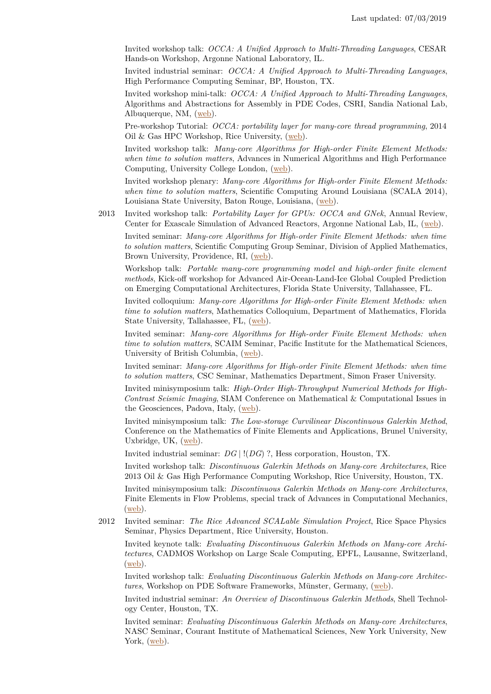Invited workshop talk: *OCCA: A Unified Approach to Multi-Threading Languages*, CESAR Hands-on Workshop, Argonne National Laboratory, IL.

Invited industrial seminar: *OCCA: A Unified Approach to Multi-Threading Languages*, High Performance Computing Seminar, BP, Houston, TX.

Invited workshop mini-talk: *OCCA: A Unified Approach to Multi-Threading Languages*, Algorithms and Abstractions for Assembly in PDE Codes, CSRI, Sandia National Lab, Albuquerque, NM, [\(web\)](https://computing-research.sandia.gov/?q=events/4).

Pre-workshop Tutorial: *OCCA: portability layer for many-core thread programming*, 2014 Oil & Gas HPC Workshop, Rice University, [\(web\)](http://rice2014.og-hpc.org/pre-workshop-events/).

Invited workshop talk: *Many-core Algorithms for High-order Finite Element Methods: when time to solution matters*, Advances in Numerical Algorithms and High Performance Computing, University College London, [\(web\)](http://www.maths.manchester.ac.uk/news-and-events/events/anahpc13/).

Invited workshop plenary: *Many-core Algorithms for High-order Finite Element Methods: when time to solution matters*, Scientific Computing Around Louisiana (SCALA 2014), Louisiana State University, Baton Rouge, Louisiana, [\(web\)](https://www.cct.lsu.edu/SCALA2014).

2013 Invited workshop talk: *Portability Layer for GPUs: OCCA and GNek*, Annual Review, Center for Exascale Simulation of Advanced Reactors, Argonne National Lab, IL, [\(web\)](http://cesar.mcs.anl.gov/).

Invited seminar: *Many-core Algorithms for High-order Finite Element Methods: when time to solution matters*, Scientific Computing Group Seminar, Division of Applied Mathematics, Brown University, Providence, RI,  $(web)$ .

Workshop talk: *Portable many-core programming model and high-order finite element methods*, Kick-off workshop for Advanced Air-Ocean-Land-Ice Global Coupled Prediction on Emerging Computational Architectures, Florida State University, Tallahassee, FL.

Invited colloquium: *Many-core Algorithms for High-order Finite Element Methods: when time to solution matters*, Mathematics Colloquium, Department of Mathematics, Florida State University, Tallahassee, FL, [\(web\)](http://www.math.fsu.edu/~mio/colloquium/schedule.math).

Invited seminar: *Many-core Algorithms for High-order Finite Element Methods: when time to solution matters*, SCAIM Seminar, Pacific Institute for the Mathematical Sciences, University of British Columbia, [\(web\)](http://www.pims.math.ca/scientific-event/130912-sstw).

Invited seminar: *Many-core Algorithms for High-order Finite Element Methods: when time to solution matters*, CSC Seminar, Mathematics Department, Simon Fraser University.

Invited minisymposium talk: *High-Order High-Throughput Numerical Methods for High-Contrast Seismic Imaging*, SIAM Conference on Mathematical & Computational Issues in the Geosciences, Padova, Italy, [\(web\)](http://meetings.siam.org/sess/dsp_talk.cfm?p=56441).

Invited minisymposium talk: *The Low-storage Curvilinear Discontinuous Galerkin Method*, Conference on the Mathematics of Finite Elements and Applications, Brunel University, Uxbridge, UK, [\(web\)](http://people.brunel.ac.uk/~icstmkw/draft_for_maf2013/ab2013_alphabetical_order_updated.pdf).

Invited industrial seminar: *DG* | !(*DG*) ?, Hess corporation, Houston, TX.

Invited workshop talk: *Discontinuous Galerkin Methods on Many-core Architectures*, Rice 2013 Oil & Gas High Performance Computing Workshop, Rice University, Houston, TX.

Invited minisymposium talk: *Discontinuous Galerkin Methods on Many-core Architectures*, Finite Elements in Flow Problems, special track of Advances in Computational Mechanics, [\(web\)](http://th70.tafsm.org/frontal/default.asp).

2012 Invited seminar: *The Rice Advanced SCALable Simulation Project*, Rice Space Physics Seminar, Physics Department, Rice University, Houston.

Invited keynote talk: *Evaluating Discontinuous Galerkin Methods on Many-core Architectures*, CADMOS Workshop on Large Scale Computing, EPFL, Lausanne, Switzerland, [\(web\)](http://www.cadmos.org/fr/cadmos-workshop-2012.html).

Invited workshop talk: *Evaluating Discontinuous Galerkin Methods on Many-core Architectures*, Workshop on PDE Software Frameworks, Münster, Germany, [\(web\)](http://pdesoft2012.uni-muenster.de/).

Invited industrial seminar: *An Overview of Discontinuous Galerkin Methods*, Shell Technology Center, Houston, TX.

Invited seminar: *Evaluating Discontinuous Galerkin Methods on Many-core Architectures*, NASC Seminar, Courant Institute of Mathematical Sciences, New York University, New York,  $(web)$ .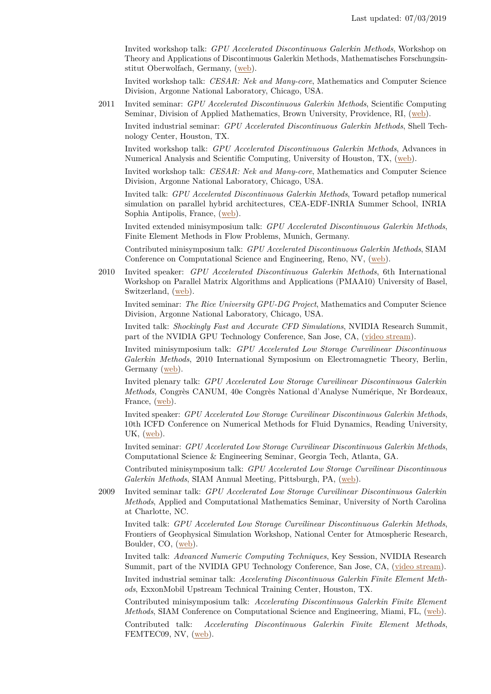Invited workshop talk: *GPU Accelerated Discontinuous Galerkin Methods*, Workshop on Theory and Applications of Discontinuous Galerkin Methods, Mathematisches Forschungsinstitut Oberwolfach, Germany, [\(web\)](http://www.mfo.de/occasion/1208a/www_view).

Invited workshop talk: *CESAR: Nek and Many-core*, Mathematics and Computer Science Division, Argonne National Laboratory, Chicago, USA.

2011 Invited seminar: *GPU Accelerated Discontinuous Galerkin Methods*, Scientific Computing Seminar, Division of Applied Mathematics, Brown University, Providence, RI, [\(web\)](http://www.dam.brown.edu/scicomp/seminars/250/).

Invited industrial seminar: *GPU Accelerated Discontinuous Galerkin Methods*, Shell Technology Center, Houston, TX.

Invited workshop talk: *GPU Accelerated Discontinuous Galerkin Methods*, Advances in Numerical Analysis and Scientific Computing, University of Houston, TX, [\(web\)](http://www.math.uh.edu/~pan/Hoppe/index.html).

Invited workshop talk: *CESAR: Nek and Many-core*, Mathematics and Computer Science Division, Argonne National Laboratory, Chicago, USA.

Invited talk: *GPU Accelerated Discontinuous Galerkin Methods*, Toward petaflop numerical simulation on parallel hybrid architectures, CEA-EDF-INRIA Summer School, INRIA Sophia Antipolis, France, [\(web\)](http://www-sop.inria.fr/manifestations/cea-edf-inria-2011/index_en.html).

Invited extended minisymposium talk: *GPU Accelerated Discontinuous Galerkin Methods*, Finite Element Methods in Flow Problems, Munich, Germany.

Contributed minisymposium talk: *GPU Accelerated Discontinuous Galerkin Methods*, SIAM Conference on Computational Science and Engineering, Reno, NV, [\(web\)](http://www.siam.org/meetings/cse11/).

2010 Invited speaker: *GPU Accelerated Discontinuous Galerkin Methods*, 6th International Workshop on Parallel Matrix Algorithms and Applications (PMAA10) University of Basel, Switzerland, [\(web\)](http://www.pmaa10.unibas.ch/).

Invited seminar: *The Rice University GPU-DG Project*, Mathematics and Computer Science Division, Argonne National Laboratory, Chicago, USA.

Invited talk: *Shockingly Fast and Accurate CFD Simulations*, NVIDIA Research Summit, part of the NVIDIA GPU Technology Conference, San Jose, CA, [\(video stream\)](http://nvidia.fullviewmedia.com/gtc2010/0922-san-jose-2078.html).

Invited minisymposium talk: *GPU Accelerated Low Storage Curvilinear Discontinuous Galerkin Methods*, 2010 International Symposium on Electromagnetic Theory, Berlin, Germany [\(web\)](http://www.cem.tf.uni-kiel.de/emts2010/).

Invited plenary talk: *GPU Accelerated Low Storage Curvilinear Discontinuous Galerkin Methods*, Congrès CANUM, 40e Congrès National d'Analyse Numérique, Nr Bordeaux, France, [\(web\)](http://smai.emath.fr/canum2010/).

Invited speaker: *GPU Accelerated Low Storage Curvilinear Discontinuous Galerkin Methods*, 10th ICFD Conference on Numerical Methods for Fluid Dynamics, Reading University, UK, [\(web\)](http://www.icfd.rdg.ac.uk/ICFD2010/).

Invited seminar: *GPU Accelerated Low Storage Curvilinear Discontinuous Galerkin Methods*, Computational Science & Engineering Seminar, Georgia Tech, Atlanta, GA.

Contributed minisymposium talk: *GPU Accelerated Low Storage Curvilinear Discontinuous Galerkin Methods*, SIAM Annual Meeting, Pittsburgh, PA, [\(web\)](http://www.siam.org/meetings/an10/).

2009 Invited seminar talk: *GPU Accelerated Low Storage Curvilinear Discontinuous Galerkin Methods*, Applied and Computational Mathematics Seminar, University of North Carolina at Charlotte, NC.

Invited talk: *GPU Accelerated Low Storage Curvilinear Discontinuous Galerkin Methods*, Frontiers of Geophysical Simulation Workshop, National Center for Atmospheric Research, Boulder, CO, [\(web\)](http://www.image.ucar.edu/Workshops/TOY2009/focus02/).

Invited talk: *Advanced Numeric Computing Techniques*, Key Session, NVIDIA Research Summit, part of the NVIDIA GPU Technology Conference, San Jose, CA, [\(video stream\)](http://nvidia.fullviewmedia.com/GPU2009/1002-gold-1082.html).

Invited industrial seminar talk: *Accelerating Discontinuous Galerkin Finite Element Methods*, ExxonMobil Upstream Technical Training Center, Houston, TX.

Contributed minisymposium talk: *Accelerating Discontinuous Galerkin Finite Element Methods*, SIAM Conference on Computational Science and Engineering, Miami, FL, [\(web\)](http://www.siam.org/meetings/cse09/).

Contributed talk: *Accelerating Discontinuous Galerkin Finite Element Methods*, FEMTEC09, NV,  $(\underline{\text{web}})$ .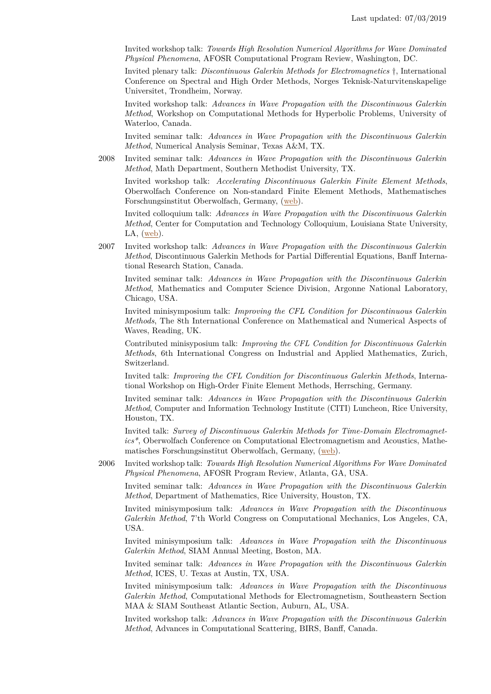Invited workshop talk: *Towards High Resolution Numerical Algorithms for Wave Dominated Physical Phenomena*, AFOSR Computational Program Review, Washington, DC.

Invited plenary talk: *Discontinuous Galerkin Methods for Electromagnetics* †, International Conference on Spectral and High Order Methods, Norges Teknisk-Naturvitenskapelige Universitet, Trondheim, Norway.

Invited workshop talk: *Advances in Wave Propagation with the Discontinuous Galerkin Method*, Workshop on Computational Methods for Hyperbolic Problems, University of Waterloo, Canada.

Invited seminar talk: *Advances in Wave Propagation with the Discontinuous Galerkin Method*, Numerical Analysis Seminar, Texas A&M, TX.

2008 Invited seminar talk: *Advances in Wave Propagation with the Discontinuous Galerkin Method*, Math Department, Southern Methodist University, TX.

Invited workshop talk: *Accelerating Discontinuous Galerkin Finite Element Methods*, Oberwolfach Conference on Non-standard Finite Element Methods, Mathematisches Forschungsinstitut Oberwolfach, Germany, [\(web\)](#page-0-0).

Invited colloquium talk: *Advances in Wave Propagation with the Discontinuous Galerkin Method*, Center for Computation and Technology Colloquium, Louisiana State University, LA, [\(web\)](http://www.cct.lsu.edu/lectures/advances-wave-propagation-discontinuous-galerkin-method).

2007 Invited workshop talk: *Advances in Wave Propagation with the Discontinuous Galerkin Method*, Discontinuous Galerkin Methods for Partial Differential Equations, Banff International Research Station, Canada.

Invited seminar talk: *Advances in Wave Propagation with the Discontinuous Galerkin Method*, Mathematics and Computer Science Division, Argonne National Laboratory, Chicago, USA.

Invited minisymposium talk: *Improving the CFL Condition for Discontinuous Galerkin Methods*, The 8th International Conference on Mathematical and Numerical Aspects of Waves, Reading, UK.

Contributed minisyposium talk: *Improving the CFL Condition for Discontinuous Galerkin Methods*, 6th International Congress on Industrial and Applied Mathematics, Zurich, Switzerland.

Invited talk: *Improving the CFL Condition for Discontinuous Galerkin Methods*, International Workshop on High-Order Finite Element Methods, Herrsching, Germany.

Invited seminar talk: *Advances in Wave Propagation with the Discontinuous Galerkin Method*, Computer and Information Technology Institute (CITI) Luncheon, Rice University, Houston, TX.

Invited talk: *Survey of Discontinuous Galerkin Methods for Time-Domain Electromagnetics\**, Oberwolfach Conference on Computational Electromagnetism and Acoustics, Mathematisches Forschungsinstitut Oberwolfach, Germany, [\(web\)](#page-0-0).

2006 Invited workshop talk: *Towards High Resolution Numerical Algorithms For Wave Dominated Physical Phenomena*, AFOSR Program Review, Atlanta, GA, USA.

Invited seminar talk: *Advances in Wave Propagation with the Discontinuous Galerkin Method*, Department of Mathematics, Rice University, Houston, TX.

Invited minisymposium talk: *Advances in Wave Propagation with the Discontinuous Galerkin Method*, 7'th World Congress on Computational Mechanics, Los Angeles, CA, USA.

Invited minisymposium talk: *Advances in Wave Propagation with the Discontinuous Galerkin Method*, SIAM Annual Meeting, Boston, MA.

Invited seminar talk: *Advances in Wave Propagation with the Discontinuous Galerkin Method*, ICES, U. Texas at Austin, TX, USA.

Invited minisymposium talk: *Advances in Wave Propagation with the Discontinuous Galerkin Method*, Computational Methods for Electromagnetism, Southeastern Section MAA & SIAM Southeast Atlantic Section, Auburn, AL, USA.

Invited workshop talk: *Advances in Wave Propagation with the Discontinuous Galerkin Method*, Advances in Computational Scattering, BIRS, Banff, Canada.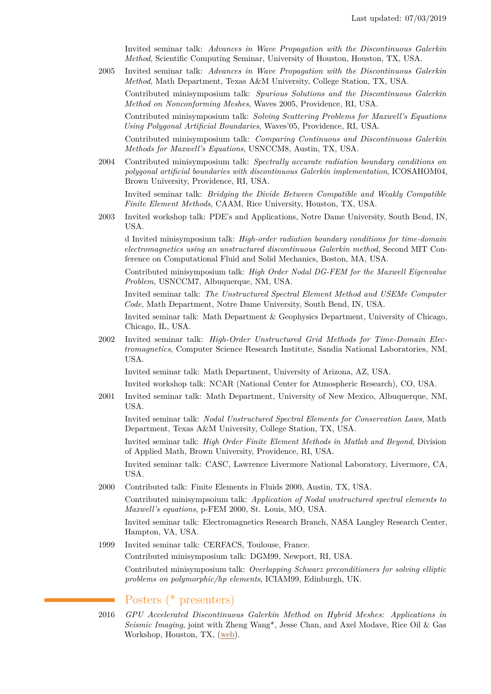Invited seminar talk: *Advances in Wave Propagation with the Discontinuous Galerkin Method*, Scientific Computing Seminar, University of Houston, Houston, TX, USA.

2005 Invited seminar talk: *Advances in Wave Propagation with the Discontinuous Galerkin Method*, Math Department, Texas A&M University, College Station, TX, USA.

Contributed minisymposium talk: *Spurious Solutions and the Discontinuous Galerkin Method on Nonconforming Meshes*, Waves 2005, Providence, RI, USA.

Contributed minisymposium talk: *Solving Scattering Problems for Maxwell's Equations Using Polygonal Artificial Boundaries*, Waves'05, Providence, RI, USA.

Contributed minisymposium talk: *Comparing Continuous and Discontinuous Galerkin Methods for Maxwell's Equations*, USNCCM8, Austin, TX, USA.

2004 Contributed minisymposium talk: *Spectrally accurate radiation boundary conditions on polygonal artificial boundaries with discontinuous Galerkin implementation*, ICOSAHOM04, Brown University, Providence, RI, USA.

Invited seminar talk: *Bridging the Divide Between Compatible and Weakly Compatible Finite Element Methods*, CAAM, Rice University, Houston, TX, USA.

2003 Invited workshop talk: PDE's and Applications, Notre Dame University, South Bend, IN, USA.

d Invited minisymposium talk: *High-order radiation boundary conditions for time-domain electromagnetics using an unstructured discontinuous Galerkin method*, Second MIT Conference on Computational Fluid and Solid Mechanics, Boston, MA, USA.

Contributed minisymposium talk: *High Order Nodal DG-FEM for the Maxwell Eigenvalue Problem*, USNCCM7, Albuquerque, NM, USA.

Invited seminar talk: *The Unstructured Spectral Element Method and USEMe Computer Code*, Math Department, Notre Dame University, South Bend, IN, USA.

Invited seminar talk: Math Department & Geophysics Department, University of Chicago, Chicago, IL, USA.

2002 Invited seminar talk: *High-Order Unstructured Grid Methods for Time-Domain Electromagnetics*, Computer Science Research Institute, Sandia National Laboratories, NM, USA.

Invited seminar talk: Math Department, University of Arizona, AZ, USA.

Invited workshop talk: NCAR (National Center for Atmospheric Research), CO, USA.

2001 Invited seminar talk: Math Department, University of New Mexico, Albuquerque, NM, USA.

Invited seminar talk: *Nodal Unstructured Spectral Elements for Conservation Laws*, Math Department, Texas A&M University, College Station, TX, USA.

Invited seminar talk: *High Order Finite Element Methods in Matlab and Beyond*, Division of Applied Math, Brown University, Providence, RI, USA.

Invited seminar talk: CASC, Lawrence Livermore National Laboratory, Livermore, CA, USA.

2000 Contributed talk: Finite Elements in Fluids 2000, Austin, TX, USA.

Contributed minisympsoium talk: *Application of Nodal unstructured spectral elements to Maxwell's equations*, p-FEM 2000, St. Louis, MO, USA.

Invited seminar talk: Electromagnetics Research Branch, NASA Langley Research Center, Hampton, VA, USA.

1999 Invited seminar talk: CERFACS, Toulouse, France. Contributed minisymposium talk: DGM99, Newport, RI, USA.

> Contributed minisymposium talk: *Overlapping Schwarz preconditioners for solving elliptic problems on polymorphic/hp elements*, ICIAM99, Edinburgh, UK.

## Posters (\* presenters)

2016 *GPU Accelerated Discontinuous Galerkin Method on Hybrid Meshes: Applications in Seismic Imaging*, joint with Zheng Wang\*, Jesse Chan, and Axel Modave, Rice Oil & Gas Workshop, Houston, TX, [\(web\)](http://rice2016oghpc.rice.edu).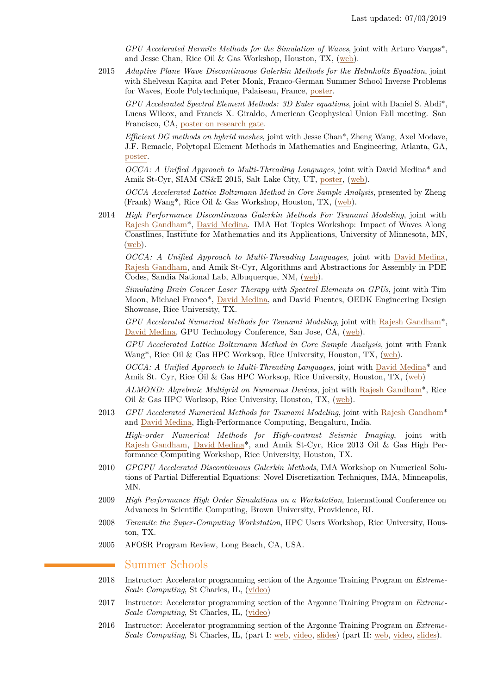*GPU Accelerated Hermite Methods for the Simulation of Waves*, joint with Arturo Vargas\*, and Jesse Chan, Rice Oil & Gas Workshop, Houston, TX, [\(web\)](http://rice2016oghpc.rice.edu).

2015 *Adaptive Plane Wave Discontinuous Galerkin Methods for the Helmholtz Equation*, joint with Shelvean Kapita and Peter Monk, Franco-German Summer School Inverse Problems for Waves, Ecole Polytechnique, Palaiseau, France, [poster.](http://www.cmap.polytechnique.fr/~defi/ipwaves/Posters/Kapita.pdf)

*GPU Accelerated Spectral Element Methods: 3D Euler equations*, joint with Daniel S. Abdi\*, Lucas Wilcox, and Francis X. Giraldo, American Geophysical Union Fall meeting. San Francisco, CA, [poster on research gate.](http://dx.doi.org/10.13140/RG.2.1.3875.0806)

*Efficient DG methods on hybrid meshes*, joint with Jesse Chan\*, Zheng Wang, Axel Modave, J.F. Remacle, Polytopal Element Methods in Mathematics and Engineering, Atlanta, GA, [poster.](http://www.math.vt.edu/people/jlchan/talks_posters/poems2015.pdf)

*OCCA: A Unified Approach to Multi-Threading Languages*, joint with David Medina\* and Amik St-Cyr, SIAM CS&E 2015, Salt Lake City, UT, [poster,](http://dsmedina.com/pdf/talks/cse15.pdf) [\(web\)](http://meetings.siam.org/sess/dsp_talk.cfm?p=68271).

*OCCA Accelerated Lattice Boltzmann Method in Core Sample Analysis*, presented by Zheng (Frank) Wang\*, Rice Oil & Gas Workshop, Houston, TX, [\(web\)](http://2015riceoilgashpcworkshop.sched.org).

2014 *High Performance Discontinuous Galerkin Methods For Tsunami Modeling*, joint with [Rajesh Gandham\\*](http://www.caam.rice.edu/~rg20/Site/Home.html), [David Medina.](http://davidmedinawiki.wordpress.com/) IMA Hot Topics Workshop: Impact of Waves Along Coastlines, Institute for Mathematics and its Applications, University of Minnesota, MN, [\(web\)](http://www.ima.umn.edu/2014-2015/SW10.14-17.14/?event_id=SW10.14-17.14).

*OCCA: A Unified Approach to Multi-Threading Languages*, joint with [David Medina,](http://davidmedinawiki.wordpress.com/) [Rajesh Gandham,](http://www.caam.rice.edu/~rg20/Site/Home.html) and Amik St-Cyr, Algorithms and Abstractions for Assembly in PDE Codes, Sandia National Lab, Albuquerque, NM, [\(web\)](https://computing-research.sandia.gov/?q=events/4).

*Simulating Brain Cancer Laser Therapy with Spectral Elements on GPUs*, joint with Tim Moon, Michael Franco\*, [David Medina,](http://davidmedinawiki.wordpress.com/) and David Fuentes, OEDK Engineering Design Showcase, Rice University, TX.

*GPU Accelerated Numerical Methods for Tsunami Modeling*, joint with [Rajesh Gandham\\*](http://www.caam.rice.edu/~rg20/Site/Home.html), [David Medina,](http://davidmedinawiki.wordpress.com/) GPU Technology Conference, San Jose, CA, [\(web\)](http://on-demand.gputechconf.com/gtc/2014/poster/pdf/P4135_water_equations_galerkin_threading.pdf).

*GPU Accelerated Lattice Boltzmann Method in Core Sample Analysis*, joint with Frank Wang\*, Rice Oil & Gas HPC Worksop, Rice University, Houston, TX, [\(web\)](http://rice2014.og-hpc.org/technical-program/).

*OCCA: A Unified Approach to Multi-Threading Languages*, joint with [David Medina\\*](http://davidmedinawiki.wordpress.com/) and Amik St. Cyr, Rice Oil & Gas HPC Worksop, Rice University, Houston, TX, [\(web\)](http://rice2014.og-hpc.org/technical-program/)

*ALMOND: Algrebraic Multigrid on Numerous Devices*, joint with [Rajesh Gandham\\*](http://www.caam.rice.edu/~rg20/Site/Home.html), Rice Oil & Gas HPC Worksop, Rice University, Houston, TX, [\(web\)](http://rice2014.og-hpc.org/technical-program/).

- 2013 *GPU Accelerated Numerical Methods for Tsunami Modeling*, joint with [Rajesh Gandham\\*](http://www.caam.rice.edu/~rg20/Site/Home.html) and [David Medina,](http://davidmedinawiki.wordpress.com/) High-Performance Computing, Bengaluru, India. *High-order Numerical Methods for High-contrast Seismic Imaging*, joint with [Rajesh Gandham,](http://www.caam.rice.edu/~rg20/Site/Home.html) [David Medina\\*](http://davidmedinawiki.wordpress.com/), and Amik St-Cyr, Rice 2013 Oil & Gas High Performance Computing Workshop, Rice University, Houston, TX.
- 2010 *GPGPU Accelerated Discontinuous Galerkin Methods*, IMA Workshop on Numerical Solutions of Partial Differential Equations: Novel Discretization Techniques, IMA, Minneapolis, MN.
- 2009 *High Performance High Order Simulations on a Workstation*, International Conference on Advances in Scientific Computing, Brown University, Providence, RI.
- 2008 *Teramite the Super-Computing Workstation*, HPC Users Workshop, Rice University, Houston, TX.
- 2005 AFOSR Program Review, Long Beach, CA, USA.

## Summer Schools

- 2018 Instructor: Accelerator programming section of the Argonne Training Program on *Extreme-Scale Computing*, St Charles, IL, [\(video\)](https://youtu.be/uvVy3CqpVbM)
- 2017 Instructor: Accelerator programming section of the Argonne Training Program on *Extreme-Scale Computing*, St Charles, IL, [\(video\)](https://www.youtube.com/watch?v=lGmPy8xpT4E&index=4&list=PLGj2a3KTwhRZ27MGmWkskykQGsSPmrMi_)
- 2016 Instructor: Accelerator programming section of the Argonne Training Program on *Extreme-Scale Computing*, St Charles, IL, (part I: [web,](https://extremecomputingtraining.anl.gov/sessions/presentation-portable-gpu-programming-hands-on/) [video,](https://www.youtube.com/watch?v=I33WSjcvfpI&index=47&list=PLGj2a3KTwhRb6LNVucPkwdpzg9OHd8jli) [slides\)](http://press3.mcs.anl.gov/atpesc/files/2016/08/Warturton_1030aug4_PortGPUPhandson.pdf) (part II: web, video, slides).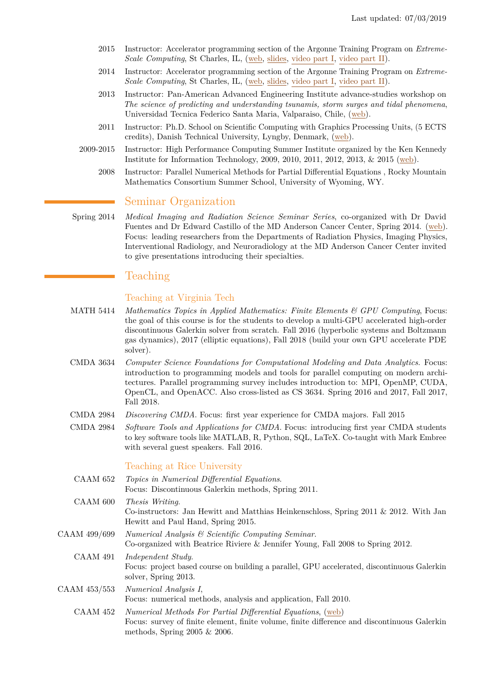- 2015 Instructor: Accelerator programming section of the Argonne Training Program on *Extreme-Scale Computing*, St Charles, IL, [\(web,](http://press3.mcs.anl.gov/atpesc/sessions/accelerators/) [slides,](http://press3.mcs.anl.gov/atpesc/files/2015/08/Warburton_830.pdf) [video part I,](https://www.youtube.com/watch?v=xnPs0VDjXXc&list=PLGj2a3KTwhRZR9yvRG2f3F7svgYYs2GSa&index=51) [video part II\)](https://www.youtube.com/watch?v=AfeA7F-w0CM&index=52&list=PLGj2a3KTwhRZR9yvRG2f3F7svgYYs2GSa).
- 2014 Instructor: Accelerator programming section of the Argonne Training Program on *Extreme-Scale Computing*, St Charles, IL, [\(web,](http://extremecomputingtraining.anl.gov/curriculum/agenda2014/) [slides,](http://extremecomputingtraining.anl.gov/files/2014/01/Warburton-Accelerators14.pdf) [video part I,](https://www.youtube.com/watch?v=6XRtSomdCKg&index=27&list=PLGj2a3KTwhRbpV3Y-6A3k1R1usnDtClnv) [video part II\)](https://www.youtube.com/watch?v=tmHM5WQlM10&list=PLGj2a3KTwhRbpV3Y-6A3k1R1usnDtClnv&index=28).
- 2013 Instructor: Pan-American Advanced Engineering Institute advance-studies workshop on *The science of predicting and understanding tsunamis, storm surges and tidal phenomena*, Universidad Tecnica Federico Santa Maria, Valparaiso, Chile, [\(web\)](http://www.bu.edu/pasi-tsunami/people/tim-warburton/).
- 2011 Instructor: Ph.D. School on Scientific Computing with Graphics Processing Units, (5 ECTS credits), Danish Technical University, Lyngby, Denmark, [\(web\)](http://gpulab.imm.dtu.dk/PhDschool2011/).
- 2009-2015 Instructor: High Performance Computing Summer Institute organized by the Ken Kennedy Institute for Information Technology, 2009, 2010, 2011, 2012, 2013, & 2015 [\(web\)](http://hpcsi.rice.edu/).
	- 2008 Instructor: Parallel Numerical Methods for Partial Differential Equations , Rocky Mountain Mathematics Consortium Summer School, University of Wyoming, WY.

## Seminar Organization

Spring 2014 *Medical Imaging and Radiation Science Seminar Series*, co-organized with Dr David Fuentes and Dr Edward Castillo of the MD Anderson Cancer Center, Spring 2014. [\(web\)](http://www.dir-lab.com/radscience2014.html). Focus: leading researchers from the Departments of Radiation Physics, Imaging Physics, Interventional Radiology, and Neuroradiology at the MD Anderson Cancer Center invited to give presentations introducing their specialties.

## Teaching

## Teaching at Virginia Tech

- MATH 5414 *Mathematics Topics in Applied Mathematics: Finite Elements & GPU Computing*, Focus: the goal of this course is for the students to develop a multi-GPU accelerated high-order discontinuous Galerkin solver from scratch. Fall 2016 (hyperbolic systems and Boltzmann gas dynamics), 2017 (elliptic equations), Fall 2018 (build your own GPU accelerate PDE solver).
- CMDA 3634 *Computer Science Foundations for Computational Modeling and Data Analytics*. Focus: introduction to programming models and tools for parallel computing on modern architectures. Parallel programming survey includes introduction to: MPI, OpenMP, CUDA, OpenCL, and OpenACC. Also cross-listed as CS 3634. Spring 2016 and 2017, Fall 2017, Fall 2018.
- CMDA 2984 *Discovering CMDA*. Focus: first year experience for CMDA majors. Fall 2015
- CMDA 2984 *Software Tools and Applications for CMDA*. Focus: introducing first year CMDA students to key software tools like MATLAB, R, Python, SQL, LaTeX. Co-taught with Mark Embree with several guest speakers. Fall 2016.

## Teaching at Rice University

- CAAM 652 *Topics in Numerical Differential Equations*. Focus: Discontinuous Galerkin methods, Spring 2011.
- CAAM 600 *Thesis Writing*. Co-instructors: Jan Hewitt and Matthias Heinkenschloss, Spring 2011 & 2012. With Jan Hewitt and Paul Hand, Spring 2015.
- CAAM 499/699 *Numerical Analysis & Scientific Computing Seminar*. Co-organized with Beatrice Riviere & Jennifer Young, Fall 2008 to Spring 2012.
	- CAAM 491 *Independent Study*. Focus: project based course on building a parallel, GPU accelerated, discontinuous Galerkin solver, Spring 2013.

CAAM 453/553 *Numerical Analysis I*, Focus: numerical methods, analysis and application, Fall 2010.

CAAM 452 *Numerical Methods For Partial Differential Equations*, [\(web\)](http://www.caam.rice.edu/~timwar/TWCourses/CAAM452.html) Focus: survey of finite element, finite volume, finite difference and discontinuous Galerkin methods, Spring 2005 & 2006.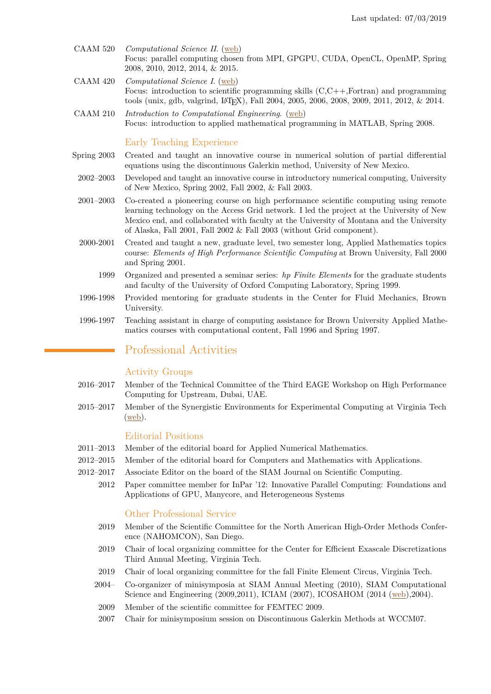- CAAM 520 *Computational Science II*. [\(web\)](http://www.caam.rice.edu/~timwar/TWCourses/CAAM520.html) Focus: parallel computing chosen from MPI, GPGPU, CUDA, OpenCL, OpenMP, Spring 2008, 2010, 2012, 2014, & 2015.
- CAAM 420 *Computational Science I*. [\(web\)](http://www.caam.rice.edu/~timwar/TWCourses/CAAM420.html) Focus: introduction to scientific programming skills (C,C++,Fortran) and programming tools (unix, gdb, valgrind, LATEX), Fall 2004, 2005, 2006, 2008, 2009, 2011, 2012, & 2014.
- CAAM 210 *Introduction to Computational Engineering*. [\(web\)](http://www.caam.rice.edu/~timwar/CAAM210/Intro.html) Focus: introduction to applied mathematical programming in MATLAB, Spring 2008.

## Early Teaching Experience

- Spring 2003 Created and taught an innovative course in numerical solution of partial differential equations using the discontinuous Galerkin method, University of New Mexico.
- 2002–2003 Developed and taught an innovative course in introductory numerical computing, University of New Mexico, Spring 2002, Fall 2002, & Fall 2003.
- 2001–2003 Co-created a pioneering course on high performance scientific computing using remote learning technology on the Access Grid network. I led the project at the University of New Mexico end, and collaborated with faculty at the University of Montana and the University of Alaska, Fall 2001, Fall 2002 & Fall 2003 (without Grid component).
- 2000-2001 Created and taught a new, graduate level, two semester long, Applied Mathematics topics course: *Elements of High Performance Scientific Computing* at Brown University, Fall 2000 and Spring 2001.
	- 1999 Organized and presented a seminar series: *hp Finite Elements* for the graduate students and faculty of the University of Oxford Computing Laboratory, Spring 1999.
- 1996-1998 Provided mentoring for graduate students in the Center for Fluid Mechanics, Brown University.
- 1996-1997 Teaching assistant in charge of computing assistance for Brown University Applied Mathematics courses with computational content, Fall 1996 and Spring 1997.

## Professional Activities

## Activity Groups

- 2016–2017 Member of the Technical Committee of the Third EAGE Workshop on High Performance Computing for Upstream, Dubai, UAE.
- 2015–2017 Member of the Synergistic Environments for Experimental Computing at Virginia Tech [\(web\)](http://seec.cs.vt.edu).

## Editorial Positions

- 2011–2013 Member of the editorial board for Applied Numerical Mathematics.
- 2012–2015 Member of the editorial board for Computers and Mathematics with Applications.
- 2012–2017 Associate Editor on the board of the SIAM Journal on Scientific Computing.
	- 2012 Paper committee member for InPar '12: Innovative Parallel Computing: Foundations and Applications of GPU, Manycore, and Heterogeneous Systems

### Other Professional Service

- 2019 Member of the Scientific Committee for the North American High-Order Methods Conference (NAHOMCON), San Diego.
- 2019 Chair of local organizing committee for the Center for Efficient Exascale Discretizations Third Annual Meeting, Virginia Tech.
- 2019 Chair of local organizing committee for the fall Finite Element Circus, Virginia Tech.
- 2004– Co-organizer of minisymposia at SIAM Annual Meeting (2010), SIAM Computational Science and Engineering (2009,2011), ICIAM (2007), ICOSAHOM (2014 [\(web\)](http://www.icosahom2014.org/images/submissions/abstracts/icosahom2014_submission_6.pdf),2004).
- 2009 Member of the scientific committee for FEMTEC 2009.
- 2007 Chair for minisymposium session on Discontinuous Galerkin Methods at WCCM07.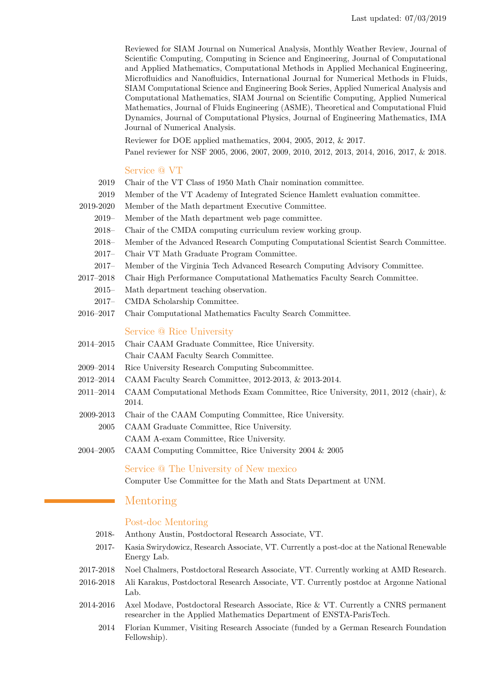Reviewed for SIAM Journal on Numerical Analysis, Monthly Weather Review, Journal of Scientific Computing, Computing in Science and Engineering, Journal of Computational and Applied Mathematics, Computational Methods in Applied Mechanical Engineering, Microfluidics and Nanofluidics, International Journal for Numerical Methods in Fluids, SIAM Computational Science and Engineering Book Series, Applied Numerical Analysis and Computational Mathematics, SIAM Journal on Scientific Computing, Applied Numerical Mathematics, Journal of Fluids Engineering (ASME), Theoretical and Computational Fluid Dynamics, Journal of Computational Physics, Journal of Engineering Mathematics, IMA Journal of Numerical Analysis.

Reviewer for DOE applied mathematics, 2004, 2005, 2012, & 2017.

Panel reviewer for NSF 2005, 2006, 2007, 2009, 2010, 2012, 2013, 2014, 2016, 2017, & 2018.

#### Service @ VT

- 2019 Chair of the VT Class of 1950 Math Chair nomination committee.
- 2019 Member of the VT Academy of Integrated Science Hamlett evaluation committee.
- 2019-2020 Member of the Math department Executive Committee.
	- 2019– Member of the Math department web page committee.
	- 2018– Chair of the CMDA computing curriculum review working group.
	- 2018– Member of the Advanced Research Computing Computational Scientist Search Committee.
	- 2017– Chair VT Math Graduate Program Committee.
	- 2017– Member of the Virginia Tech Advanced Research Computing Advisory Committee.
- 2017–2018 Chair High Performance Computational Mathematics Faculty Search Committee.
	- 2015– Math department teaching observation.
	- 2017– CMDA Scholarship Committee.
- 2016–2017 Chair Computational Mathematics Faculty Search Committee.

## Service @ Rice University

- 2014–2015 Chair CAAM Graduate Committee, Rice University.
	- Chair CAAM Faculty Search Committee.
- 2009–2014 Rice University Research Computing Subcommittee.
- 2012–2014 CAAM Faculty Search Committee, 2012-2013, & 2013-2014.
- 2011–2014 CAAM Computational Methods Exam Committee, Rice University, 2011, 2012 (chair), & 2014.
- 2009-2013 Chair of the CAAM Computing Committee, Rice University.
- 2005 CAAM Graduate Committee, Rice University. CAAM A-exam Committee, Rice University.
- 2004–2005 CAAM Computing Committee, Rice University 2004 & 2005

#### Service @ The University of New mexico

Computer Use Committee for the Math and Stats Department at UNM.

## Mentoring

#### Post-doc Mentoring

- 2018- Anthony Austin, Postdoctoral Research Associate, VT.
- 2017- Kasia Swirydowicz, Research Associate, VT. Currently a post-doc at the National Renewable Energy Lab.
- 2017-2018 Noel Chalmers, Postdoctoral Research Associate, VT. Currently working at AMD Research.
- 2016-2018 Ali Karakus, Postdoctoral Research Associate, VT. Currently postdoc at Argonne National Lab.
- 2014-2016 Axel Modave, Postdoctoral Research Associate, Rice & VT. Currently a CNRS permanent researcher in the Applied Mathematics Department of ENSTA-ParisTech.
	- 2014 Florian Kummer, Visiting Research Associate (funded by a German Research Foundation Fellowship).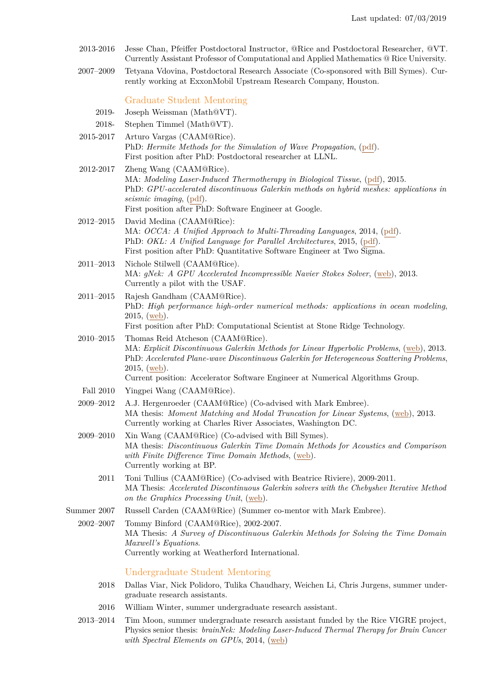- 2013-2016 Jesse Chan, Pfeiffer Postdoctoral Instructor, @Rice and Postdoctoral Researcher, @VT. Currently Assistant Professor of Computational and Applied Mathematics @ Rice University.
- 2007–2009 Tetyana Vdovina, Postdoctoral Research Associate (Co-sponsored with Bill Symes). Currently working at ExxonMobil Upstream Research Company, Houston.

Graduate Student Mentoring

- 2019- Joseph Weissman (Math@VT).
- 2018- Stephen Timmel (Math@VT).
- 2015-2017 Arturo Vargas (CAAM@Rice). PhD: *Hermite Methods for the Simulation of Wave Propagation*, [\(pdf\)](https://scholarship.rice.edu/handle/1911/96153). First position after PhD: Postdoctoral researcher at LLNL.
- 2012-2017 Zheng Wang (CAAM@Rice). MA: *Modeling Laser-Induced Thermotherapy in Biological Tissue*, [\(pdf\)](https://scholarship.rice.edu/handle/1911/88146), 2015. PhD: *GPU-accelerated discontinuous Galerkin methods on hybrid meshes: applications in seismic imaging*, [\(pdf\)](https://scholarship.rice.edu/handle/1911/96151). First position after PhD: Software Engineer at Google.
- 2012–2015 David Medina (CAAM@Rice): MA: *OCCA: A Unified Approach to Multi-Threading Languages*, 2014, [\(pdf\)](http://dsmedina.com/pdf/papers/masters.pdf). PhD: *OKL: A Unified Language for Parallel Architectures*, 2015, [\(pdf\)](http://dsmedina.com/pdf/papers/phd.pdf). First position after PhD: Quantitative Software Engineer at Two Sigma.
- 2011–2013 Nichole Stilwell (CAAM@Rice). MA: *gNek: A GPU Accelerated Incompressible Navier Stokes Solver*, [\(web\)](http://scholarship.rice.edu/handle/1911/72043), 2013. Currently a pilot with the USAF.
- 2011–2015 Rajesh Gandham (CAAM@Rice). PhD: *High performance high-order numerical methods: applications in ocean modeling*, 2015, [\(web\)](http://www.caam.rice.edu/tech_reports/2015/TR15-06.pdf). First position after PhD: Computational Scientist at Stone Ridge Technology.
- 2010–2015 Thomas Reid Atcheson (CAAM@Rice). MA: *Explicit Discontinuous Galerkin Methods for Linear Hyperbolic Problems*, [\(web\)](http://scholarship.rice.edu/handle/1911/75120), 2013. PhD: *Accelerated Plane-wave Discontinuous Galerkin for Heterogeneous Scattering Problems*, 2015, [\(web\)](https://scholarship.rice.edu/handle/1911/87705). Current position: Accelerator Software Engineer at Numerical Algorithms Group.
- Fall 2010 Yingpei Wang (CAAM@Rice).
- 2009–2012 A.J. Hergenroeder (CAAM@Rice) (Co-advised with Mark Embree). MA thesis: *Moment Matching and Modal Truncation for Linear Systems*, [\(web\)](http://scholarship.rice.edu/handle/1911/71657), 2013. Currently working at Charles River Associates, Washington DC.
- 2009–2010 Xin Wang (CAAM@Rice) (Co-advised with Bill Symes). MA thesis: *Discontinuous Galerkin Time Domain Methods for Acoustics and Comparison with Finite Difference Time Domain Methods*, [\(web\)](http://scholarship.rice.edu/handle/1911/61981). Currently working at BP.
	- 2011 Toni Tullius (CAAM@Rice) (Co-advised with Beatrice Riviere), 2009-2011. MA Thesis: *Accelerated Discontinuous Galerkin solvers with the Chebyshev Iterative Method on the Graphics Processing Unit*, [\(web\)](http://scholarship.rice.edu/handle/1911/70478).
- Summer 2007 Russell Carden (CAAM@Rice) (Summer co-mentor with Mark Embree).

2002–2007 Tommy Binford (CAAM@Rice), 2002-2007. MA Thesis: *A Survey of Discontinuous Galerkin Methods for Solving the Time Domain Maxwell's Equations*. Currently working at Weatherford International.

## Undergraduate Student Mentoring

- 2018 Dallas Viar, Nick Polidoro, Tulika Chaudhary, Weichen Li, Chris Jurgens, summer undergraduate research assistants.
- 2016 William Winter, summer undergraduate research assistant.
- 2013–2014 Tim Moon, summer undergraduate research assistant funded by the Rice VIGRE project, Physics senior thesis: *brainNek: Modeling Laser-Induced Thermal Therapy for Brain Cancer with Spectral Elements on GPUs*, 2014, [\(web\)](https://web.stanford.edu/~tym1/materials/moon_bs_thesis.pdf)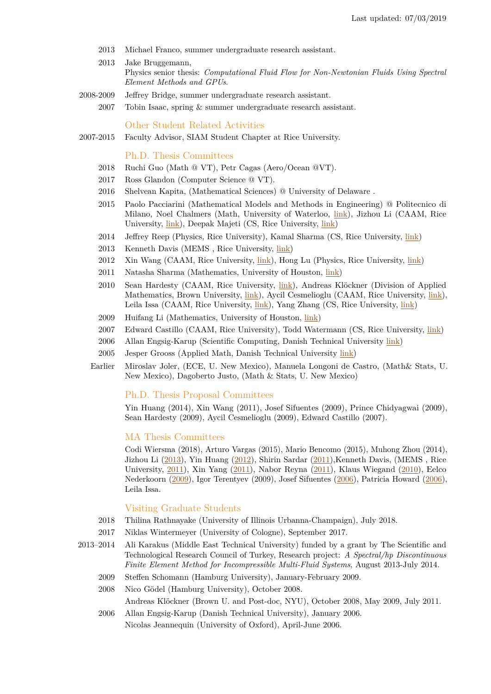- 2013 Michael Franco, summer undergraduate research assistant.
- 2013 Jake Bruggemann, Physics senior thesis: *Computational Fluid Flow for Non-Newtonian Fluids Using Spectral Element Methods and GPUs*.
- 2008-2009 Jeffrey Bridge, summer undergraduate research assistant.
	- 2007 Tobin Isaac, spring & summer undergraduate research assistant.

Other Student Related Activities

2007-2015 Faculty Advisor, SIAM Student Chapter at Rice University.

#### Ph.D. Thesis Committees

- 2018 Ruchi Guo (Math @ VT), Petr Cagas (Aero/Ocean @VT).
- 2017 Ross Glandon (Computer Science @ VT).
- 2016 Shelvean Kapita, (Mathematical Sciences) @ University of Delaware .
- 2015 Paolo Pacciarini (Mathematical Models and Methods in Engineering) @ Politecnico di Milano, Noel Chalmers (Math, University of Waterloo, [link\)](https://uwspace.uwaterloo.ca/handle/10012/9652), Jizhou Li (CAAM, Rice University, [link\)](https://scholarship.rice.edu/handle/1911/88087), Deepak Majeti (CS, Rice University, [link\)](https://scholarship.rice.edu/handle/1911/88096)
- 2014 Jeffrey Reep (Physics, Rice University), Kamal Sharma (CS, Rice University, [link\)](https://scholarship.rice.edu/handle/1911/88159)
- 2013 Kenneth Davis (MEMS , Rice University, [link\)](http://scholarship.rice.edu/handle/1911/64417)
- 2012 Xin Wang (CAAM, Rice University, [link\)](http://scholarship.rice.edu/handle/1911/71700), Hong Lu (Physics, Rice University, [link\)](http://scholarship.rice.edu/handle/1911/71671)
- 2011 Natasha Sharma (Mathematics, University of Houston, [link\)](http://www.mathematics.uh.edu/docs/math/PhD_thesis/2011/2011_Natasha_Sharma_thesis.pdf)
- 2010 Sean Hardesty (CAAM, Rice University, [link\)](http://scholarship.rice.edu/handle/1911/62017), Andreas Klöckner (Division of Applied Mathematics, Brown University, [link\)](http://mathema.tician.de/dl/academic/dissertation.pdf), Aycil Cesmelioglu (CAAM, Rice University, [link\)](http://scholarship.rice.edu/handle/1911/62194), Leila Issa (CAAM, Rice University, [link\)](http://scholarship.rice.edu/handle/1911/62221), Yang Zhang (CS, Rice University, [link\)](http://scholarship.rice.edu/handle/1911/62205)
- 2009 Huifang Li (Mathematics, University of Houston, [link\)](http://www.mathematics.uh.edu/docs/math/PhD_thesis/2009/2009_Huifang_Li_theisis.pdf)
- 2007 Edward Castillo (CAAM, Rice University), Todd Watermann (CS, Rice University, [link\)](http://scholarship.rice.edu/handle/1911/18991)
- 2006 Allan Engsig-Karup (Scientific Computing, Danish Technical University [link\)](http://orbit.dtu.dk/en/publications/unstructured-nodal-dgfem-solution-of-highorder-boussinesqtype-equations(52502078-1608-4799-8e55-41f60bb92db6).html)
- 2005 Jesper Grooss (Applied Math, Danish Technical University [link\)](http://orbit.dtu.dk/en/publications/a-level-set-discontinuous-galerkin-method-for-free-surface-flows--and-waterwave-modeling(a7e0e260-1052-4189-96ff-f2ff60920b02).html)
- Earlier Miroslav Joler, (ECE, U. New Mexico), Manuela Longoni de Castro, (Math& Stats, U. New Mexico), Dagoberto Justo, (Math & Stats, U. New Mexico)

### Ph.D. Thesis Proposal Committees

Yin Huang (2014), Xin Wang (2011), Josef Sifuentes (2009), Prince Chidyagwai (2009), Sean Hardesty (2009), Aycil Cesmelioglu (2009), Edward Castillo (2007).

### MA Thesis Committees

Codi Wiersma (2018), Arturo Vargas (2015), Mario Bencomo (2015), Muhong Zhou (2014), Jizhou Li [\(2013\)](http://scholarship.rice.edu/handle/1911/71985), Yin Huang [\(2012\)](http://scholarship.rice.edu/handle/1911/71661), Shirin Sardar [\(2011\)](http://scholarship.rice.edu/handle/1911/70430),Kenneth Davis, (MEMS , Rice University, [2011\)](http://scholarship.rice.edu/handle/1911/64417), Xin Yang [\(2011\)](http://scholarship.rice.edu/handle/1911/70501), Nabor Reyna [\(2011\)](http://scholarship.rice.edu/handle/1911/70407), Klaus Wiegand [\(2010\)](http://scholarship.rice.edu/handle/1911/62212), Eelco Nederkoorn [\(2009\)](http://scholarship.rice.edu/handle/1911/61980), Igor Terentyev (2009), Josef Sifuentes [\(2006\)](http://scholarship.rice.edu/handle/1911/17917), Patricia Howard [\(2006\)](http://scholarship.rice.edu/handle/1911/20561), Leila Issa.

#### Visiting Graduate Students

- 2018 Thilina Rathnayake (University of Illinois Urbanna-Champaign), July 2018.
- 2017 Niklas Wintermeyer (University of Cologne), September 2017.
- 2013–2014 Ali Karakus (Middle East Technical University) funded by a grant by The Scientific and Technological Research Council of Turkey, Research project: *A Spectral/hp Discontinuous Finite Element Method for Incompressible Multi-Fluid Systems*, August 2013-July 2014.
	- 2009 Steffen Schomann (Hamburg University), January-February 2009.
	- 2008 Nico Gödel (Hamburg University), October 2008.

Andreas Klöckner (Brown U. and Post-doc, NYU), October 2008, May 2009, July 2011.

2006 Allan Engsig-Karup (Danish Technical University), January 2006. Nicolas Jeannequin (University of Oxford), April-June 2006.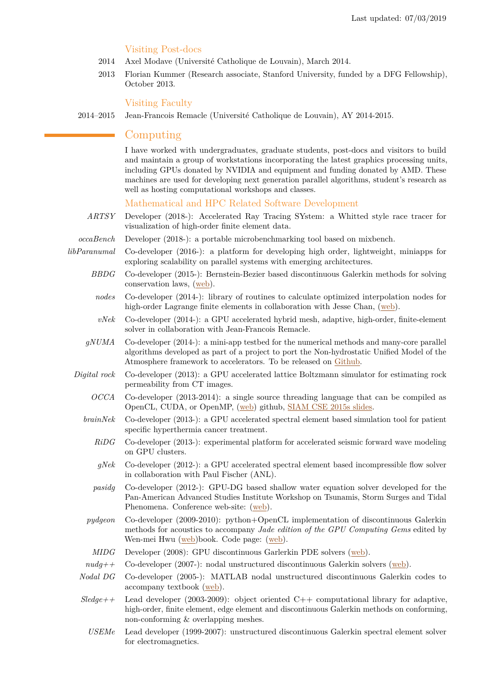## Visiting Post-docs

- 2014 Axel Modave (Université Catholique de Louvain), March 2014.
- 2013 Florian Kummer (Research associate, Stanford University, funded by a DFG Fellowship), October 2013.

## Visiting Faculty

### 2014–2015 Jean-Francois Remacle (Université Catholique de Louvain), AY 2014-2015.

## Computing

I have worked with undergraduates, graduate students, post-docs and visitors to build and maintain a group of workstations incorporating the latest graphics processing units, including GPUs donated by NVIDIA and equipment and funding donated by AMD. These machines are used for developing next generation parallel algorithms, student's research as well as hosting computational workshops and classes.

## Mathematical and HPC Related Software Development

- *ARTSY* Developer (2018-): Accelerated Ray Tracing SYstem: a Whitted style race tracer for visualization of high-order finite element data.
- *occaBench* Developer (2018-): a portable microbenchmarking tool based on mixbench.
- *libParanumal* Co-developer (2016-): a platform for developing high order, lightweight, miniapps for exploring scalability on parallel systems with emerging architectures.
	- *BBDG* Co-developer (2015-): Bernstein-Bezier based discontinuous Galerkin methods for solving conservation laws, [\(web\)](https://github.com/tcew/BBDG).
		- *nodes* Co-developer (2014-): library of routines to calculate optimized interpolation nodes for high-order Lagrange finite elements in collaboration with Jesse Chan, [\(web\)](https://github.com/tcew/nodes).
	- *vNek* Co-developer (2014-): a GPU accelerated hybrid mesh, adaptive, high-order, finite-element solver in collaboration with Jean-Francois Remacle.
	- *gNUMA* Co-developer (2014-): a mini-app testbed for the numerical methods and many-core parallel algorithms developed as part of a project to port the Non-hydrostatic Unified Model of the Atmosphere framework to accelerators. To be released on [Github.](https://github.com/tcew/gNUMA)
	- *Digital rock* Co-developer (2013): a GPU accelerated lattice Boltzmann simulator for estimating rock permeability from CT images.
		- *OCCA* Co-developer (2013-2014): a single source threading language that can be compiled as OpenCL, CUDA, or OpenMP, [\(web\)](https://github.com/tcew/OCCA) github, [SIAM CSE 2015s slides.](http://dsmedina.com/pdfs/talks/cse15.pdf)
		- *brainNek* Co-developer (2013-): a GPU accelerated spectral element based simulation tool for patient specific hyperthermia cancer treatment.
			- *RiDG* Co-developer (2013-): experimental platform for accelerated seismic forward wave modeling on GPU clusters.
			- *gNek* Co-developer (2012-): a GPU accelerated spectral element based incompressible flow solver in collaboration with Paul Fischer (ANL).
			- *pasidg* Co-developer (2012-): GPU-DG based shallow water equation solver developed for the Pan-American Advanced Studies Institute Workshop on Tsunamis, Storm Surges and Tidal Phenomena. Conference web-site: [\(web\)](http://www.bu.edu/pasi-tsunami/).
		- *pydgeon* Co-developer (2009-2010): python+OpenCL implementation of discontinuous Galerkin methods for acoustics to accompany *Jade edition of the GPU Computing Gems* edited by Wen-mei Hwu [\(web\)](http://www.amazon.com/GPU-Computing-Gems-Jade-Applications/dp/0123859638)book. Code page: [\(web\)](http://wiki.tiker.net/Pydgeon).
		- *MIDG* Developer (2008): GPU discontinuous Garlerkin PDE solvers [\(web\)](http://www.caam.rice.edu/~timwar/RMMC).
		- *nudg++* Co-developer (2007-): nodal unstructured discontinuous Galerkin solvers [\(web\)](http://www.nudg.org).
		- *Nodal DG* Co-developer (2005-): MATLAB nodal unstructured discontinuous Galerkin codes to accompany textbook [\(web\)](https://github.com/tcew/nodal-dg).
		- *Sledge++* Lead developer (2003-2009): object oriented C++ computational library for adaptive, high-order, finite element, edge element and discontinuous Galerkin methods on conforming, non-conforming & overlapping meshes.
			- *USEMe* Lead developer (1999-2007): unstructured discontinuous Galerkin spectral element solver for electromagnetics.